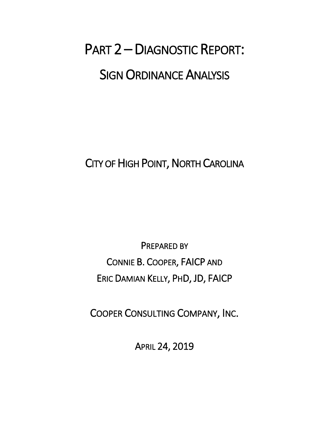# PART 2 – DIAGNOSTIC REPORT: SIGN ORDINANCE ANALYSIS

CITY OF HIGH POINT, NORTH CAROLINA

PREPARED BY CONNIE B. COOPER, FAICP AND ERIC DAMIAN KELLY, PHD, JD, FAICP

COOPER CONSULTING COMPANY, INC.

APRIL 24, 2019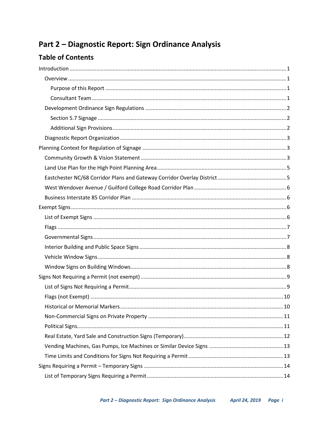# Part 2 - Diagnostic Report: Sign Ordinance Analysis

# **Table of Contents**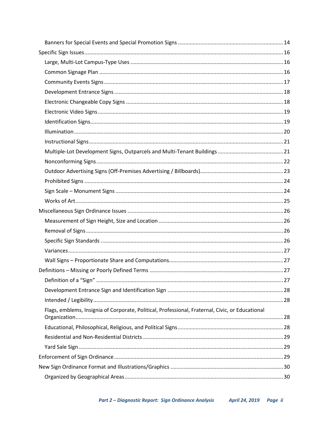| Flags, emblems, Insignia of Corporate, Political, Professional, Fraternal, Civic, or Educational |  |
|--------------------------------------------------------------------------------------------------|--|
|                                                                                                  |  |
|                                                                                                  |  |
|                                                                                                  |  |
|                                                                                                  |  |
|                                                                                                  |  |
|                                                                                                  |  |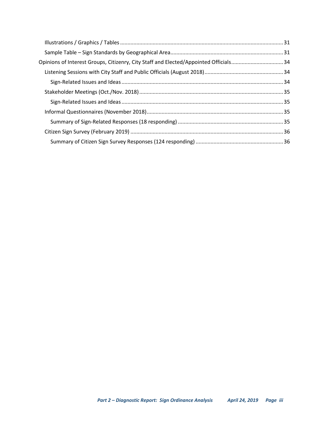| Opinions of Interest Groups, Citizenry, City Staff and Elected/Appointed Officials34 |  |
|--------------------------------------------------------------------------------------|--|
|                                                                                      |  |
|                                                                                      |  |
|                                                                                      |  |
|                                                                                      |  |
|                                                                                      |  |
|                                                                                      |  |
|                                                                                      |  |
|                                                                                      |  |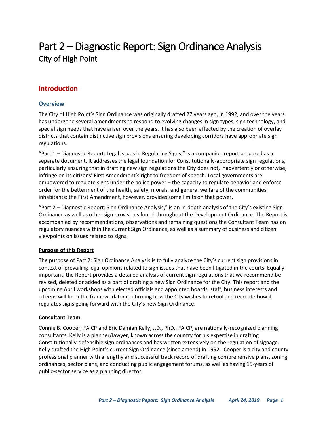# Part 2 – Diagnostic Report: Sign Ordinance Analysis City of High Point

# <span id="page-4-0"></span>**Introduction**

#### <span id="page-4-1"></span>**Overview**

The City of High Point's Sign Ordinance was originally drafted 27 years ago, in 1992, and over the years has undergone several amendments to respond to evolving changes in sign types, sign technology, and special sign needs that have arisen over the years. It has also been affected by the creation of overlay districts that contain distinctive sign provisions ensuring developing corridors have appropriate sign regulations.

"Part 1 – Diagnostic Report: Legal Issues in Regulating Signs," is a companion report prepared as a separate document. It addresses the legal foundation for Constitutionally-appropriate sign regulations, particularly ensuring that in drafting new sign regulations the City does not, inadvertently or otherwise, infringe on its citizens' First Amendment's right to freedom of speech. Local governments are empowered to regulate signs under the police power – the capacity to regulate behavior and enforce order for the betterment of the health, safety, morals, and general welfare of the communities' inhabitants; the First Amendment, however, provides some limits on that power.

"Part 2 – Diagnostic Report: Sign Ordinance Analysis," is an in-depth analysis of the City's existing Sign Ordinance as well as other sign provisions found throughout the Development Ordinance. The Report is accompanied by recommendations, observations and remaining questions the Consultant Team has on regulatory nuances within the current Sign Ordinance, as well as a summary of business and citizen viewpoints on issues related to signs.

#### <span id="page-4-2"></span>**Purpose of this Report**

The purpose of Part 2: Sign Ordinance Analysis is to fully analyze the City's current sign provisions in context of prevailing legal opinions related to sign issues that have been litigated in the courts. Equally important, the Report provides a detailed analysis of current sign regulations that we recommend be revised, deleted or added as a part of drafting a new Sign Ordinance for the City. This report and the upcoming April workshops with elected officials and appointed boards, staff, business interests and citizens will form the framework for confirming how the City wishes to retool and recreate how it regulates signs going forward with the City's new Sign Ordinance.

#### <span id="page-4-3"></span>**Consultant Team**

Connie B. Cooper, FAICP and Eric Damian Kelly, J.D., PhD., FAICP, are nationally-recognized planning consultants. Kelly is a planner/lawyer, known across the country for his expertise in drafting Constitutionally-defensible sign ordinances and has written extensively on the regulation of signage. Kelly drafted the High Point's current Sign Ordinance (since amend) in 1992. Cooper is a city and county professional planner with a lengthy and successful track record of drafting comprehensive plans, zoning ordinances, sector plans, and conducting public engagement forums, as well as having 15-years of public-sector service as a planning director.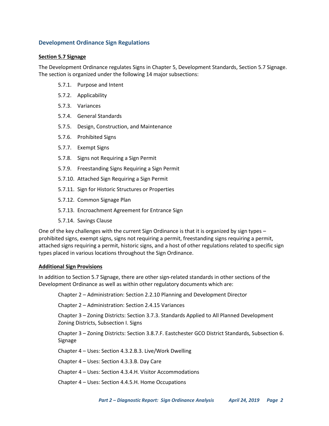#### <span id="page-5-0"></span>**Development Ordinance Sign Regulations**

#### <span id="page-5-1"></span>**Section 5.7 Signage**

The Development Ordinance regulates Signs in Chapter 5, Development Standards, Section 5.7 Signage. The section is organized under the following 14 major subsections:

- 5.7.1. Purpose and Intent
- 5.7.2. Applicability
- 5.7.3. Variances
- 5.7.4. General Standards
- 5.7.5. Design, Construction, and Maintenance
- 5.7.6. Prohibited Signs
- 5.7.7. Exempt Signs
- 5.7.8. Signs not Requiring a Sign Permit
- 5.7.9. Freestanding Signs Requiring a Sign Permit
- 5.7.10. Attached Sign Requiring a Sign Permit
- 5.7.11. Sign for Historic Structures or Properties
- 5.7.12. Common Signage Plan
- 5.7.13. Encroachment Agreement for Entrance Sign
- 5.7.14. Savings Clause

One of the key challenges with the current Sign Ordinance is that it is organized by sign types – prohibited signs, exempt signs, signs not requiring a permit, freestanding signs requiring a permit, attached signs requiring a permit, historic signs, and a host of other regulations related to specific sign types placed in various locations throughout the Sign Ordinance.

#### <span id="page-5-2"></span>**Additional Sign Provisions**

In addition to Section 5.7 Signage, there are other sign-related standards in other sections of the Development Ordinance as well as within other regulatory documents which are:

Chapter 2 – Administration: Section 2.2.10 Planning and Development Director

Chapter 2 – Administration: Section 2.4.15 Variances

Chapter 3 – Zoning Districts: Section 3.7.3. Standards Applied to All Planned Development Zoning Districts, Subsection I. Signs

Chapter 3 – Zoning Districts: Section 3.8.7.F. Eastchester GCO District Standards, Subsection 6. Signage

Chapter 4 – Uses: Section 4.3.2.B.3. Live/Work Dwelling

Chapter 4 – Uses: Section 4.3.3.B. Day Care

Chapter 4 – Uses: Section 4.3.4.H. Visitor Accommodations

Chapter 4 – Uses: Section 4.4.5.H. Home Occupations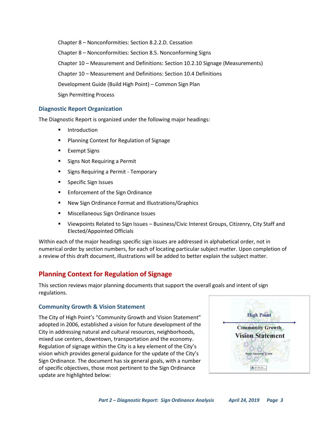Chapter 8 – Nonconformities: Section 8.2.2.D. Cessation Chapter 8 – Nonconformities: Section 8.5. Nonconforming Signs Chapter 10 – Measurement and Definitions: Section 10.2.10 Signage (Measurements) Chapter 10 – Measurement and Definitions: Section 10.4 Definitions Development Guide (Build High Point) – Common Sign Plan Sign Permitting Process

#### <span id="page-6-0"></span>**Diagnostic Report Organization**

The Diagnostic Report is organized under the following major headings:

- Introduction
- Planning Context for Regulation of Signage
- **Exempt Signs**
- Signs Not Requiring a Permit
- Signs Requiring a Permit Temporary
- Specific Sign Issues
- Enforcement of the Sign Ordinance
- New Sign Ordinance Format and Illustrations/Graphics
- Miscellaneous Sign Ordinance Issues
- Viewpoints Related to Sign Issues Business/Civic Interest Groups, Citizenry, City Staff and Elected/Appointed Officials

Within each of the major headings specific sign issues are addressed in alphabetical order, not in numerical order by section numbers, for each of locating particular subject matter. Upon completion of a review of this draft document, illustrations will be added to better explain the subject matter.

# <span id="page-6-1"></span>**Planning Context for Regulation of Signage**

This section reviews major planning documents that support the overall goals and intent of sign regulations.

#### <span id="page-6-2"></span>**Community Growth & Vision Statement**

The City of High Point's "Community Growth and Vision Statement" adopted in 2006, established a vision for future development of the City in addressing natural and cultural resources, neighborhoods, mixed use centers, downtown, transportation and the economy. Regulation of signage within the City is a key element of the City's vision which provides general guidance for the update of the City's Sign Ordinance. The document has six general goals, with a number of specific objectives, those most pertinent to the Sign Ordinance update are highlighted below:

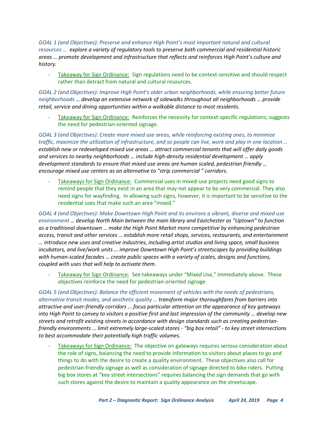*GOAL 1 (and Objectives): Preserve and enhance High Point's most important natural and cultural resources … explore a variety of regulatory tools to preserve both commercial and residential historic areas … promote development and infrastructure that reflects and reinforces High Point's culture and history.*

- Takeaway for Sign Ordinance: Sign regulations need to be context-sensitive and should respect rather than detract from natural and cultural resources.

*GOAL 2 (and Objectives): Improve High Point's older urban neighborhoods, while ensuring better future neighborhoods … develop an extensive network of sidewalks throughout all neighborhoods … provide retail, service and dining opportunities within a walkable distance to most residents.*

Takeaway for Sign Ordinance: Reinforces the necessity for context-specific regulations; suggests the need for pedestrian-oriented signage.

*GOAL 3 (and Objectives): Create more mixed use areas, while reinforcing existing ones, to minimize traffic, maximize the utilization of infrastructure, and so people can live, work and play in one location … establish new or redeveloped mixed use areas … attract commercial tenants that will offer daily goods and services to nearby neighborhoods … include high-density residential development … apply development standards to ensure that mixed use areas are human scaled, pedestrian friendly … encourage mixed use centers as an alternative to "strip commercial " corridors.*

Takeaways for Sign Ordinance: Commercial uses in mixed-use projects need good signs to remind people that they exist in an area that may not appear to be very commercial. They also need signs for wayfinding. In allowing such signs, however, it is important to be sensitive to the residential uses that make such an area "mixed."

*GOAL 4 (and Objectives): Make Downtown High Point and its environs a vibrant, diverse and mixed use environment … develop North Main between the main library and Eastchester as "Uptown" to function as a traditional downtown … make the High Point Market more competitive by enhancing pedestrian access, transit and other services … establish more retail shops, services, restaurants, and entertainment … introduce new uses and creative industries, including artist studios and living space, small business incubators, and live/work units … improve Downtown High Point's streetscapes by providing buildings with human-scaled facades … create public spaces with a variety of scales, designs and functions, coupled with uses that will help to activate them.*

Takeaway for Sign Ordinance: See takeaways under "Mixed Use," immediately above. These objectives reinforce the need for pedestrian-oriented signage

*GOAL 5 (and Objectives): Balance the efficient movement of vehicles with the needs of pedestrians, alternative transit modes, and aesthetic quality … transform major thoroughfares from barriers into attractive and user-friendly corridors … focus particular attention on the appearance of key gateways into High Point to convey to visitors a positive first and last impression of the community … develop new streets and retrofit existing streets in accordance with design standards such as creating pedestrianfriendly environments … limit extremely large-scaled stores - "big box retail" - to key street intersections to best accommodate their potentially high traffic volumes.*

Takeaways for Sign Ordinance: The objective on gateways requires serious consideration about the role of signs, balancing the need to provide information to visitors about places to go and things to do with the desire to create a quality environment. These objectives also call for pedestrian-friendly signage as well as consideration of signage directed to bike riders. Putting big box stores at "key street intersections" requires balancing the sign demands that go with such stores against the desire to maintain a quality appearance on the streetscape.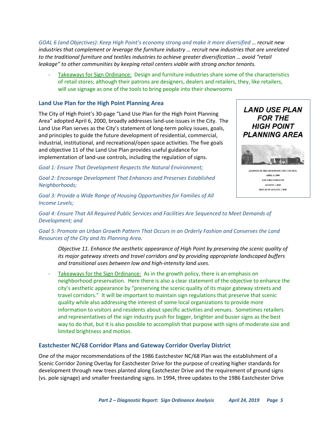*GOAL 6 (and Objectives): Keep High Point's economy strong and make it more diversified … recruit new industries that complement or leverage the furniture industry … recruit new industries that are unrelated to the traditional furniture and textiles industries to achieve greater diversification … avoid "retail leakage" to other communities by keeping retail centers viable with strong anchor tenants.*

Takeaways for Sign Ordinance: Design and furniture industries share some of the characteristics of retail stores; although their patrons are designers, dealers and retailers, they, like retailers, will use signage as one of the tools to bring people into their showrooms

#### <span id="page-8-0"></span>**Land Use Plan for the High Point Planning Area**

The City of High Point's 30-page "Land Use Plan for the High Point Planning Area" adopted April 6, 2000, broadly addresses land-use issues in the City. The Land Use Plan serves as the City's statement of long-term policy issues, goals, and principles to guide the future development of residential, commercial, industrial, institutional, and recreational/open space activities. The five goals and objective 11 of the Land Use Plan provides useful guidance for implementation of land-use controls, including the regulation of signs.

*Goal 1: Ensure That Development Respects the Natural Environment;* 

*Goal 2: Encourage Development That Enhances and Preserves Established Neighborhoods;* 

*Goal 3: Provide a Wide Range of Housing Opportunities for Families of All Income Levels;* 



**AMENDED THROECH** AUGUST 7, 2015 MAP AS OF AUGUST 7, 2015

*Goal 4: Ensure That All Required Public Services and Facilities Are Sequenced to Meet Demands of Development; and* 

#### *Goal 5: Promote an Urban Growth Pattern That Occurs in an Orderly Fashion and Conserves the Land Resources of the City and Its Planning Area.*

*Objective 11. Enhance the aesthetic appearance of High Point by preserving the scenic quality of its major gateway streets and travel corridors and by providing appropriate landscaped buffers and transitional uses between low and high-intensity land uses.*

Takeaways for the Sign Ordinance: As in the growth policy, there is an emphasis on neighborhood preservation. Here there is also a clear statement of the objective to enhance the city's aesthetic appearance by "preserving the scenic quality of its major gateway streets and travel corridors." It will be important to maintain sign regulations that preserve that scenic quality while also addressing the interest of some local organizations to provide more information to visitors and residents about specific activities and venues. Sometimes retailers and representatives of the sign industry push for bigger, brighter and busier signs as the best way to do that, but it is also possible to accomplish that purpose with signs of moderate size and limited brightness and motion.

#### <span id="page-8-1"></span>**Eastchester NC/68 Corridor Plans and Gateway Corridor Overlay District**

One of the major recommendations of the 1986 Eastchester NC/68 Plan was the establishment of a Scenic Corridor Zoning Overlay for Eastchester Drive for the purpose of creating higher standards for development through new trees planted along Eastchester Drive and the requirement of ground signs (vs. pole signage) and smaller freestanding signs. In 1994, three updates to the 1986 Eastchester Drive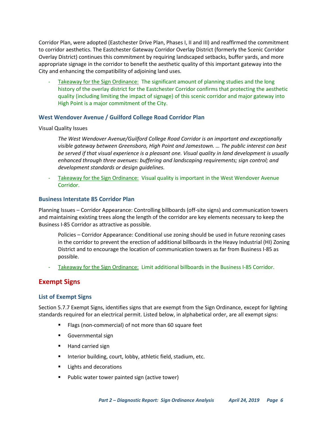Corridor Plan, were adopted (Eastchester Drive Plan, Phases I, II and III) and reaffirmed the commitment to corridor aesthetics. The Eastchester Gateway Corridor Overlay District (formerly the Scenic Corridor Overlay District) continues this commitment by requiring landscaped setbacks, buffer yards, and more appropriate signage in the corridor to benefit the aesthetic quality of this important gateway into the City and enhancing the compatibility of adjoining land uses.

Takeaway for the Sign Ordinance: The significant amount of planning studies and the long history of the overlay district for the Eastchester Corridor confirms that protecting the aesthetic quality (including limiting the impact of signage) of this scenic corridor and major gateway into High Point is a major commitment of the City.

#### <span id="page-9-0"></span>**West Wendover Avenue / Guilford College Road Corridor Plan**

#### Visual Quality Issues

*The West Wendover Avenue/Guilford College Road Corridor is an important and exceptionally visible gateway between Greensboro, High Point and Jamestown. … The public interest can best be served if that visual experience is a pleasant one. Visual quality in land development is usually enhanced through three avenues: buffering and landscaping requirements; sign control; and development standards or design guidelines.* 

Takeaway for the Sign Ordinance: Visual quality is important in the West Wendover Avenue Corridor.

#### <span id="page-9-1"></span>**Business Interstate 85 Corridor Plan**

Planning Issues – Corridor Appearance: Controlling billboards (off-site signs) and communication towers and maintaining existing trees along the length of the corridor are key elements necessary to keep the Business I-85 Corridor as attractive as possible.

Policies – Corridor Appearance: Conditional use zoning should be used in future rezoning cases in the corridor to prevent the erection of additional billboards in the Heavy Industrial (HI) Zoning District and to encourage the location of communication towers as far from Business I-85 as possible.

Takeaway for the Sign Ordinance: Limit additional billboards in the Business I-85 Corridor.

# <span id="page-9-2"></span>**Exempt Signs**

#### <span id="page-9-3"></span>**List of Exempt Signs**

Section 5.7.7 Exempt Signs, identifies signs that are exempt from the Sign Ordinance, except for lighting standards required for an electrical permit. Listed below, in alphabetical order, are all exempt signs:

- Flags (non-commercial) of not more than 60 square feet
- Governmental sign
- Hand carried sign
- Interior building, court, lobby, athletic field, stadium, etc.
- Lights and decorations
- Public water tower painted sign (active tower)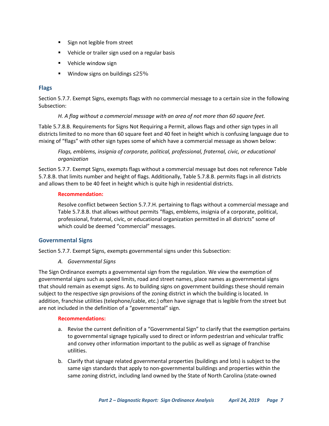- Sign not legible from street
- Vehicle or trailer sign used on a regular basis
- Vehicle window sign
- Window signs on buildings ≤25%

#### <span id="page-10-0"></span>**Flags**

Section 5.7.7. Exempt Signs, exempts flags with no commercial message to a certain size in the following Subsection:

#### *H. A flag without a commercial message with an area of not more than 60 square feet.*

Table 5.7.8.B. Requirements for Signs Not Requiring a Permit, allows flags and other sign types in all districts limited to no more than 60 square feet and 40 feet in height which is confusing language due to mixing of "flags" with other sign types some of which have a commercial message as shown below:

*Flags, emblems, insignia of corporate, political, professional, fraternal, civic, or educational organization*

Section 5.7.7. Exempt Signs, exempts flags without a commercial message but does not reference Table 5.7.8.B. that limits number and height of flags. Additionally, Table 5.7.8.B. permits flags in all districts and allows them to be 40 feet in height which is quite high in residential districts.

#### **Recommendation:**

Resolve conflict between Section 5.7.7.H. pertaining to flags without a commercial message and Table 5.7.8.B. that allows without permits "flags, emblems, insignia of a corporate, political, professional, fraternal, civic, or educational organization permitted in all districts" some of which could be deemed "commercial" messages.

#### <span id="page-10-1"></span>**Governmental Signs**

Section 5.7.7. Exempt Signs, exempts governmental signs under this Subsection:

*A. Governmental Signs*

The Sign Ordinance exempts a governmental sign from the regulation. We view the exemption of governmental signs such as speed limits, road and street names, place names as governmental signs that should remain as exempt signs. As to building signs on government buildings these should remain subject to the respective sign provisions of the zoning district in which the building is located. In addition, franchise utilities (telephone/cable, etc.) often have signage that is legible from the street but are not included in the definition of a "governmental" sign.

- a. Revise the current definition of a "Governmental Sign" to clarify that the exemption pertains to governmental signage typically used to direct or inform pedestrian and vehicular traffic and convey other information important to the public as well as signage of franchise utilities.
- b. Clarify that signage related governmental properties (buildings and lots) is subject to the same sign standards that apply to non-governmental buildings and properties within the same zoning district, including land owned by the State of North Carolina (state-owned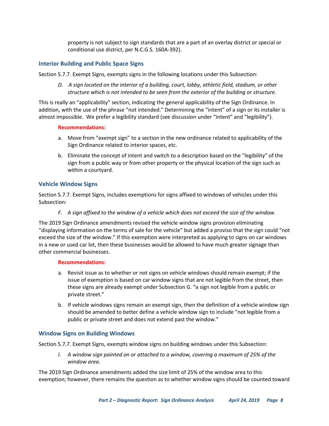property is not subject to sign standards that are a part of an overlay district or special or conditional use district, per N.C.G.S. 160A-392).

#### <span id="page-11-0"></span>**Interior Building and Public Space Signs**

Section 5.7.7. Exempt Signs, exempts signs in the following locations under this Subsection:

*D. A sign located on the interior of a building, court, lobby, athletic field, stadium, or other structure which is not intended to be seen from the exterior of the building or structure.*

This is really an "applicability" section, indicating the general applicability of the Sign Ordinance. In addition, with the use of the phrase "not intended." Determining the "intent" of a sign or its installer is almost impossible. We prefer a legibility standard (see discussion under "intent" and "legibility").

#### **Recommendations:**

- a. Move from "exempt sign" to a section in the new ordinance related to applicability of the Sign Ordinance related to interior spaces, etc.
- b. Eliminate the concept of intent and switch to a description based on the "legibility" of the sign from a public way or from other property or the physical location of the sign such as within a courtyard.

#### <span id="page-11-1"></span>**Vehicle Window Signs**

Section 5.7.7. Exempt Signs, includes exemptions for signs affixed to windows of vehicles under this Subsection:

#### *F. A sign affixed to the window of a vehicle which does not exceed the size of the window.*

The 2019 Sign Ordinance amendments revised the vehicle window signs provision eliminating "displaying information on the terms of sale for the vehicle" but added a proviso that the sign could "not exceed the size of the window." If this exemption were interpreted as applying to signs on car windows in a new or used car lot, then these businesses would be allowed to have much greater signage than other commercial businesses.

#### **Recommendations:**

- a. Revisit issue as to whether or not signs on vehicle windows should remain exempt; if the issue of exemption is based on car window signs that are not legible from the street, then these signs are already exempt under Subsection G. "a sign not legible from a public or private street."
- b. If vehicle windows signs remain an exempt sign, then the definition of a vehicle window sign should be amended to better define a vehicle window sign to include "not legible from a public or private street and does not extend past the window."

#### <span id="page-11-2"></span>**Window Signs on Building Windows**

Section 5.7.7. Exempt Signs, exempts window signs on building windows under this Subsection:

*I. A window sign painted on or attached to a window, covering a maximum of 25% of the window area.*

The 2019 Sign Ordinance amendments added the size limit of 25% of the window area to this exemption; however, there remains the question as to whether window signs should be counted toward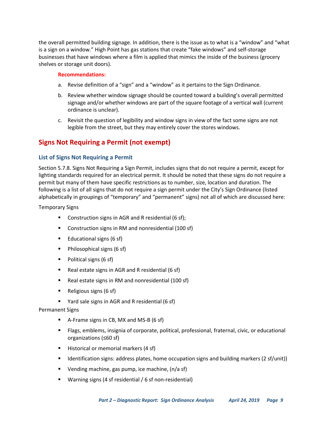the overall permitted building signage. In addition, there is the issue as to what is a "window" and "what is a sign on a window." High Point has gas stations that create "fake windows" and self-storage businesses that have windows where a film is applied that mimics the inside of the business (grocery shelves or storage unit doors).

#### **Recommendations:**

- a. Revise definition of a "sign" and a "window" as it pertains to the Sign Ordinance.
- b. Review whether window signage should be counted toward a building's overall permitted signage and/or whether windows are part of the square footage of a vertical wall (current ordinance is unclear).
- c. Revisit the question of legibility and window signs in view of the fact some signs are not legible from the street, but they may entirely cover the stores windows.

# <span id="page-12-0"></span>**Signs Not Requiring a Permit (not exempt)**

#### <span id="page-12-1"></span>**List of Signs Not Requiring a Permit**

Section 5.7.8. Signs Not Requiring a Sign Permit, includes signs that do not require a permit, except for lighting standards required for an electrical permit. It should be noted that these signs do not require a permit but many of them have specific restrictions as to number, size, location and duration. The following is a list of all signs that do not require a sign permit under the City's Sign Ordinance (listed alphabetically in groupings of "temporary" and "permanent" signs) not all of which are discussed here:

Temporary Signs

- Construction signs in AGR and R residential (6 sf);
- Construction signs in RM and nonresidential (100 sf)
- Educational signs (6 sf)
- Philosophical signs (6 sf)
- Political signs (6 sf)
- Real estate signs in AGR and R residential (6 sf)
- Real estate signs in RM and nonresidential (100 sf)
- $\blacksquare$  Religious signs (6 sf)
- Yard sale signs in AGR and R residential (6 sf)

#### Permanent Signs

- A-Frame signs in CB, MX and MS-B (6 sf)
- Flags, emblems, insignia of corporate, political, professional, fraternal, civic, or educational organizations (≤60 sf)
- Historical or memorial markers (4 sf)
- Identification signs: address plates, home occupation signs and building markers (2 sf/unit))
- Vending machine, gas pump, ice machine, (n/a sf)
- Warning signs (4 sf residential / 6 sf non-residential)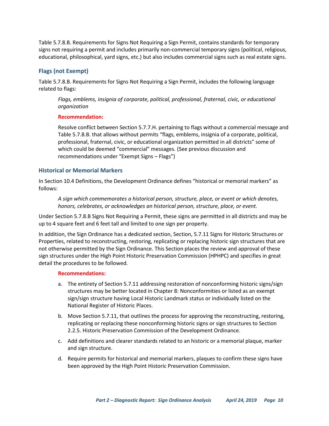Table 5.7.8.B. Requirements for Signs Not Requiring a Sign Permit, contains standards for temporary signs not requiring a permit and includes primarily non-commercial temporary signs (political, religious, educational, philosophical, yard signs, etc.) but also includes commercial signs such as real estate signs.

#### <span id="page-13-0"></span>**Flags (not Exempt)**

Table 5.7.8.B. Requirements for Signs Not Requiring a Sign Permit, includes the following language related to flags:

*Flags, emblems, insignia of corporate, political, professional, fraternal, civic, or educational organization*

#### **Recommendation:**

Resolve conflict between Section 5.7.7.H. pertaining to flags without a commercial message and Table 5.7.8.B. that allows without permits "flags, emblems, insignia of a corporate, political, professional, fraternal, civic, or educational organization permitted in all districts" some of which could be deemed "commercial" messages. (See previous discussion and recommendations under "Exempt Signs – Flags")

#### <span id="page-13-1"></span>**Historical or Memorial Markers**

In Section 10.4 Definitions, the Development Ordinance defines "historical or memorial markers" as follows:

*A sign which commemorates a historical person, structure, place, or event or which denotes, honors, celebrates, or acknowledges an historical person, structure, place, or event.*

Under Section 5.7.8.B Signs Not Requiring a Permit, these signs are permitted in all districts and may be up to 4 square feet and 6 feet tall and limited to one sign per property.

In addition, the Sign Ordinance has a dedicated section, Section, 5.7.11 Signs for Historic Structures or Properties, related to reconstructing, restoring, replicating or replacing historic sign structures that are not otherwise permitted by the Sign Ordinance. This Section places the review and approval of these sign structures under the High Point Historic Preservation Commission (HPHPC) and specifies in great detail the procedures to be followed.

- a. The entirety of Section 5.7.11 addressing restoration of nonconforming historic signs/sign structures may be better located in Chapter 8: Nonconformities or listed as an exempt sign/sign structure having Local Historic Landmark status or individually listed on the National Register of Historic Places.
- b. Move Section 5.7.11, that outlines the process for approving the reconstructing, restoring, replicating or replacing these nonconforming historic signs or sign structures to Section 2.2.5. Historic Preservation Commission of the Development Ordinance.
- c. Add definitions and clearer standards related to an historic or a memorial plaque, marker and sign structure.
- d. Require permits for historical and memorial markers, plaques to confirm these signs have been approved by the High Point Historic Preservation Commission.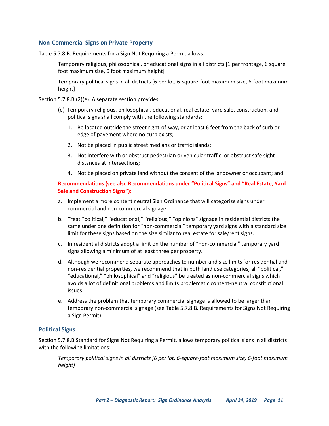#### <span id="page-14-0"></span>**Non-Commercial Signs on Private Property**

Table 5.7.8.B. Requirements for a Sign Not Requiring a Permit allows:

Temporary religious, philosophical, or educational signs in all districts [1 per frontage, 6 square foot maximum size, 6 foot maximum height]

Temporary political signs in all districts [6 per lot, 6-square-foot maximum size, 6-foot maximum height]

Section 5.7.8.B.(2)(e). A separate section provides:

- (e) Temporary religious, philosophical, educational, real estate, yard sale, construction, and political signs shall comply with the following standards:
	- 1. Be located outside the street right-of-way, or at least 6 feet from the back of curb or edge of pavement where no curb exists;
	- 2. Not be placed in public street medians or traffic islands;
	- 3. Not interfere with or obstruct pedestrian or vehicular traffic, or obstruct safe sight distances at intersections;
	- 4. Not be placed on private land without the consent of the landowner or occupant; and

#### **Recommendations (see also Recommendations under "Political Signs" and "Real Estate, Yard Sale and Construction Signs"):**

- a. Implement a more content neutral Sign Ordinance that will categorize signs under commercial and non-commercial signage.
- b. Treat "political," "educational," "religious," "opinions" signage in residential districts the same under one definition for "non-commercial" temporary yard signs with a standard size limit for these signs based on the size similar to real estate for sale/rent signs.
- c. In residential districts adopt a limit on the number of "non-commercial" temporary yard signs allowing a minimum of at least three per property.
- d. Although we recommend separate approaches to number and size limits for residential and non-residential properties, we recommend that in both land use categories, all "political," "educational," "philosophical" and "religious" be treated as non-commercial signs which avoids a lot of definitional problems and limits problematic content-neutral constitutional issues.
- e. Address the problem that temporary commercial signage is allowed to be larger than temporary non-commercial signage (see Table 5.7.8.B. Requirements for Signs Not Requiring a Sign Permit).

#### <span id="page-14-1"></span>**Political Signs**

Section 5.7.8.B Standard for Signs Not Requiring a Permit, allows temporary political signs in all districts with the following limitations:

*Temporary political signs in all districts [6 per lot, 6-square-foot maximum size, 6-foot maximum height]*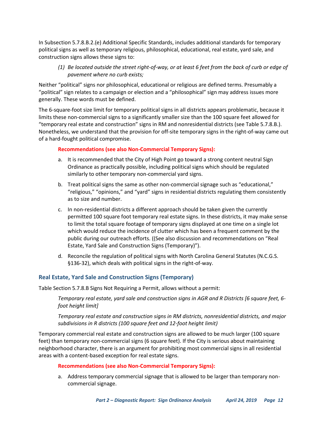In Subsection 5.7.8.B.2.(e) Additional Specific Standards, includes additional standards for temporary political signs as well as temporary religious, philosophical, educational, real estate, yard sale, and construction signs allows these signs to:

*(1) Be located outside the street right-of-way, or at least 6 feet from the back of curb or edge of pavement where no curb exists;* 

Neither "political" signs nor philosophical, educational or religious are defined terms. Presumably a "political" sign relates to a campaign or election and a "philosophical" sign may address issues more generally. These words must be defined.

The 6-square-foot size limit for temporary political signs in all districts appears problematic, because it limits these non-commercial signs to a significantly smaller size than the 100 square feet allowed for "temporary real estate and construction" signs in RM and nonresidential districts (see Table 5.7.8.B.). Nonetheless, we understand that the provision for off-site temporary signs in the right-of-way came out of a hard-fought political compromise.

#### **Recommendations (see also Non-Commercial Temporary Signs):**

- a. It is recommended that the City of High Point go toward a strong content neutral Sign Ordinance as practically possible, including political signs which should be regulated similarly to other temporary non-commercial yard signs.
- b. Treat political signs the same as other non-commercial signage such as "educational," "religious," "opinions," and "yard" signs in residential districts regulating them consistently as to size and number.
- c. In non-residential districts a different approach should be taken given the currently permitted 100 square foot temporary real estate signs. In these districts, it may make sense to limit the total square footage of temporary signs displayed at one time on a single lot which would reduce the incidence of clutter which has been a frequent comment by the public during our outreach efforts. ((See also discussion and recommendations on "Real Estate, Yard Sale and Construction Signs (Temporary)").
- d. Reconcile the regulation of political signs with North Carolina General Statutes (N.C.G.S. §136-32), which deals with political signs in the right-of-way.

## <span id="page-15-0"></span>**Real Estate, Yard Sale and Construction Signs (Temporary)**

Table Section 5.7.8.B Signs Not Requiring a Permit, allows without a permit:

*Temporary real estate, yard sale and construction signs in AGR and R Districts [6 square feet, 6 foot height limit]*

*Temporary real estate and construction signs in RM districts, nonresidential districts, and major subdivisions in R districts (100 square feet and 12-foot height limit)*

Temporary commercial real estate and construction signs are allowed to be much larger (100 square feet) than temporary non-commercial signs (6 square feet). If the City is serious about maintaining neighborhood character, there is an argument for prohibiting most commercial signs in all residential areas with a content-based exception for real estate signs.

#### **Recommendations (see also Non-Commercial Temporary Signs):**

a. Address temporary commercial signage that is allowed to be larger than temporary noncommercial signage.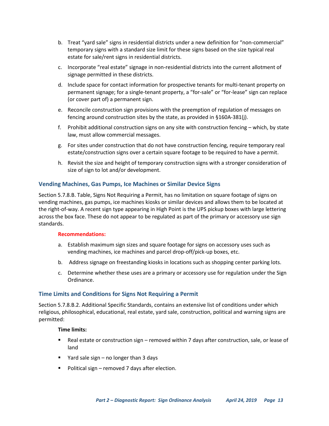- b. Treat "yard sale" signs in residential districts under a new definition for "non-commercial" temporary signs with a standard size limit for these signs based on the size typical real estate for sale/rent signs in residential districts.
- c. Incorporate "real estate" signage in non-residential districts into the current allotment of signage permitted in these districts.
- d. Include space for contact information for prospective tenants for multi-tenant property on permanent signage; for a single-tenant property, a "for-sale" or "for-lease" sign can replace (or cover part of) a permanent sign.
- e. Reconcile construction sign provisions with the preemption of regulation of messages on fencing around construction sites by the state, as provided in §160A-381(j).
- f. Prohibit additional construction signs on any site with construction fencing which, by state law, must allow commercial messages.
- g. For sites under construction that do not have construction fencing, require temporary real estate/construction signs over a certain square footage to be required to have a permit.
- h. Revisit the size and height of temporary construction signs with a stronger consideration of size of sign to lot and/or development.

#### <span id="page-16-0"></span>**Vending Machines, Gas Pumps, Ice Machines or Similar Device Signs**

Section 5.7.8.B. Table, Signs Not Requiring a Permit, has no limitation on square footage of signs on vending machines, gas pumps, ice machines kiosks or similar devices and allows them to be located at the right-of-way. A recent sign type appearing in High Point is the UPS pickup boxes with large lettering across the box face. These do not appear to be regulated as part of the primary or accessory use sign standards.

#### **Recommendations:**

- a. Establish maximum sign sizes and square footage for signs on accessory uses such as vending machines, ice machines and parcel drop-off/pick-up boxes, etc.
- b. Address signage on freestanding kiosks in locations such as shopping center parking lots.
- c. Determine whether these uses are a primary or accessory use for regulation under the Sign Ordinance.

#### <span id="page-16-1"></span>**Time Limits and Conditions for Signs Not Requiring a Permit**

Section 5.7.8.B.2. Additional Specific Standards, contains an extensive list of conditions under which religious, philosophical, educational, real estate, yard sale, construction, political and warning signs are permitted:

#### **Time limits:**

- Real estate or construction sign removed within 7 days after construction, sale, or lease of land
- Yard sale sign no longer than 3 days
- Political sign removed 7 days after election.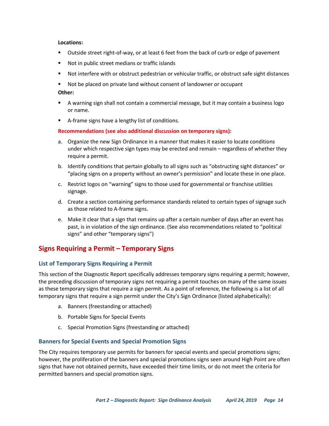#### **Locations:**

- Outside street right-of-way, or at least 6 feet from the back of curb or edge of pavement
- Not in public street medians or traffic islands
- Not interfere with or obstruct pedestrian or vehicular traffic, or obstruct safe sight distances
- Not be placed on private land without consent of landowner or occupant

#### **Other:**

- A warning sign shall not contain a commercial message, but it may contain a business logo or name.
- A-frame signs have a lengthy list of conditions.

#### **Recommendations (see also additional discussion on temporary signs):**

- a. Organize the new Sign Ordinance in a manner that makes it easier to locate conditions under which respective sign types may be erected and remain – regardless of whether they require a permit.
- b. Identify conditions that pertain globally to all signs such as "obstructing sight distances" or "placing signs on a property without an owner's permission" and locate these in one place.
- c. Restrict logos on "warning" signs to those used for governmental or franchise utilities signage.
- d. Create a section containing performance standards related to certain types of signage such as those related to A-frame signs.
- e. Make it clear that a sign that remains up after a certain number of days after an event has past, is in violation of the sign ordinance. (See also recommendations related to "political signs" and other "temporary signs")

# <span id="page-17-0"></span>**Signs Requiring a Permit – Temporary Signs**

#### <span id="page-17-1"></span>**List of Temporary Signs Requiring a Permit**

This section of the Diagnostic Report specifically addresses temporary signs requiring a permit; however, the preceding discussion of temporary signs not requiring a permit touches on many of the same issues as these temporary signs that require a sign permit. As a point of reference, the following is a list of all temporary signs that require a sign permit under the City's Sign Ordinance (listed alphabetically):

- a. Banners (freestanding or attached)
- b. Portable Signs for Special Events
- c. Special Promotion Signs (freestanding or attached)

#### <span id="page-17-2"></span>**Banners for Special Events and Special Promotion Signs**

The City requires temporary use permits for banners for special events and special promotions signs; however, the proliferation of the banners and special promotions signs seen around High Point are often signs that have not obtained permits, have exceeded their time limits, or do not meet the criteria for permitted banners and special promotion signs.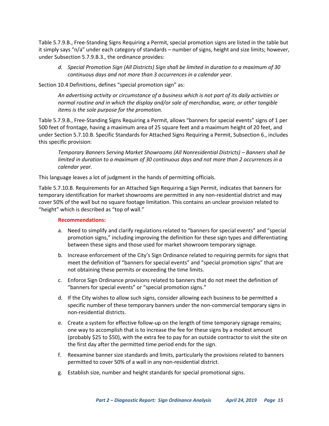Table 5.7.9.B., Free-Standing Signs Requiring a Permit, special promotion signs are listed in the table but it simply says "n/a" under each category of standards – number of signs, height and size limits; however, under Subsection 5.7.9.B.3., the ordinance provides:

*d. Special Promotion Sign (All Districts) Sign shall be limited in duration to a maximum of 30 continuous days and not more than 3 occurrences in a calendar year.*

Section 10.4 Definitions, defines "special promotion sign" as:

*An advertising activity or circumstance of a business which is not part of its daily activities or normal routine and in which the display and/or sale of merchandise, ware, or other tangible items is the sole purpose for the promotion.*

Table 5.7.9.B., Free-Standing Signs Requiring a Permit, allows "banners for special events" signs of 1 per 500 feet of frontage, having a maximum area of 25 square feet and a maximum height of 20 feet, and under Section 5.7.10.B. Specific Standards for Attached Signs Requiring a Permit, Subsection 6., includes this specific provision:

*Temporary Banners Serving Market Showrooms (All Nonresidential Districts) – Banners shall be limited in duration to a maximum of 30 continuous days and not more than 2 occurrences in a calendar year.*

This language leaves a lot of judgment in the hands of permitting officials.

Table 5.7.10.B. Requirements for an Attached Sign Requiring a Sign Permit, indicates that banners for temporary identification for market showrooms are permitted in any non-residential district and may cover 50% of the wall but no square footage limitation. This contains an unclear provision related to "height" which is described as "top of wall."

- a. Need to simplify and clarify regulations related to "banners for special events" and "special promotion signs," including improving the definition for these sign types and differentiating between these signs and those used for market showroom temporary signage.
- b. Increase enforcement of the City's Sign Ordinance related to requiring permits for signs that meet the definition of "banners for special events" and "special promotion signs" that are not obtaining these permits or exceeding the time limits.
- c. Enforce Sign Ordinance provisions related to banners that do not meet the definition of "banners for special events" or "special promotion signs."
- d. If the City wishes to allow such signs, consider allowing each business to be permitted a specific number of these temporary banners under the non-commercial temporary signs in non-residential districts.
- e. Create a system for effective follow-up on the length of time temporary signage remains; one way to accomplish that is to increase the fee for these signs by a modest amount (probably \$25 to \$50), with the extra fee to pay for an outside contractor to visit the site on the first day after the permitted time period ends for the sign.
- f. Reexamine banner size standards and limits, particularly the provisions related to banners permitted to cover 50% of a wall in any non-residential district.
- g. Establish size, number and height standards for special promotional signs.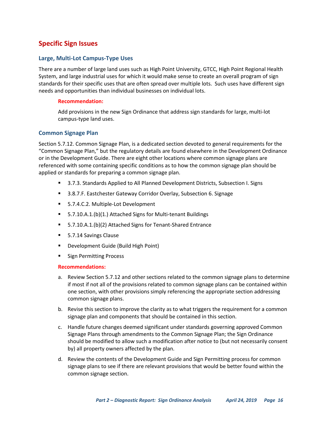# <span id="page-19-0"></span>**Specific Sign Issues**

#### <span id="page-19-1"></span>**Large, Multi-Lot Campus-Type Uses**

There are a number of large land uses such as High Point University, GTCC, High Point Regional Health System, and large industrial uses for which it would make sense to create an overall program of sign standards for their specific uses that are often spread over multiple lots. Such uses have different sign needs and opportunities than individual businesses on individual lots.

#### **Recommendation:**

Add provisions in the new Sign Ordinance that address sign standards for large, multi-lot campus-type land uses.

#### <span id="page-19-2"></span>**Common Signage Plan**

Section 5.7.12. Common Signage Plan, is a dedicated section devoted to general requirements for the "Common Signage Plan," but the regulatory details are found elsewhere in the Development Ordinance or in the Development Guide. There are eight other locations where common signage plans are referenced with some containing specific conditions as to how the common signage plan should be applied or standards for preparing a common signage plan.

- 3.7.3. Standards Applied to All Planned Development Districts, Subsection I. Signs
- 3.8.7.F. Eastchester Gateway Corridor Overlay, Subsection 6. Signage
- 5.7.4.C.2. Multiple-Lot Development
- 5.7.10.A.1.(b)(1.) Attached Signs for Multi-tenant Buildings
- 5.7.10.A.1.(b)(2) Attached Signs for Tenant-Shared Entrance
- 5.7.14 Savings Clause
- Development Guide (Build High Point)
- Sign Permitting Process

- a. Review Section 5.7.12 and other sections related to the common signage plans to determine if most if not all of the provisions related to common signage plans can be contained within one section, with other provisions simply referencing the appropriate section addressing common signage plans.
- b. Revise this section to improve the clarity as to what triggers the requirement for a common signage plan and components that should be contained in this section.
- c. Handle future changes deemed significant under standards governing approved Common Signage Plans through amendments to the Common Signage Plan; the Sign Ordinance should be modified to allow such a modification after notice to (but not necessarily consent by) all property owners affected by the plan.
- d. Review the contents of the Development Guide and Sign Permitting process for common signage plans to see if there are relevant provisions that would be better found within the common signage section.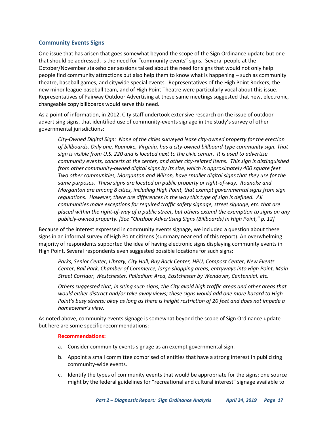#### <span id="page-20-0"></span>**Community Events Signs**

One issue that has arisen that goes somewhat beyond the scope of the Sign Ordinance update but one that should be addressed, is the need for "community events" signs. Several people at the October/November stakeholder sessions talked about the need for signs that would not only help people find community attractions but also help them to know what is happening – such as community theatre, baseball games, and citywide special events. Representatives of the High Point Rockers, the new minor league baseball team, and of High Point Theatre were particularly vocal about this issue. Representatives of Fairway Outdoor Advertising at these same meetings suggested that new, electronic, changeable copy billboards would serve this need.

As a point of information, in 2012, City staff undertook extensive research on the issue of outdoor advertising signs, that identified use of community-events signage in the study's survey of other governmental jurisdictions:

*City-Owned Digital Sign: None of the cities surveyed lease city-owned property for the erection of billboards. Only one, Roanoke, Virginia, has a city-owned billboard-type community sign. That sign is visible from U.S. 220 and is located next to the civic center. It is used to advertise community events, concerts at the center, and other city-related items. This sign is distinguished from other community-owned digital signs by its size, which is approximately 400 square feet. Two other communities, Morganton and Wilson, have smaller digital signs that they use for the same purposes. These signs are located on public property or right-of-way. Roanoke and Morganton are among 8 cities, including High Point, that exempt governmental signs from sign regulations. However, there are differences in the way this type of sign is defined. All communities make exceptions for required traffic safety signage, street signage, etc. that are placed within the right-of-way of a public street, but others extend the exemption to signs on any publicly-owned property. [See "Outdoor Advertising Signs (Billboards) in High Point," p. 12]*

Because of the interest expressed in community events signage, we included a question about these signs in an informal survey of High Point citizens (summary near end of this report). An overwhelming majority of respondents supported the idea of having electronic signs displaying community events in High Point. Several respondents even suggested possible locations for such signs:

Parks, Senior Center, Library, City Hall, Buy Back Center, HPU, Compost Center, New Events *Center, Ball Park, Chamber of Commerce, large shopping areas, entryways into High Point, Main Street Corridor, Westchester, Palladium Area, Eastchester by Wendover, Centennial, etc.*

*Others suggested that, in siting such signs, the City avoid high traffic areas and other areas that would either distract and/or take away views; these signs would add one more hazard to High Point's busy streets; okay as long as there is height restriction of 20 feet and does not impede a homeowner's view.*

As noted above, community events signage is somewhat beyond the scope of Sign Ordinance update but here are some specific recommendations:

- a. Consider community events signage as an exempt governmental sign.
- b. Appoint a small committee comprised of entities that have a strong interest in publicizing community-wide events.
- c. Identify the types of community events that would be appropriate for the signs; one source might by the federal guidelines for "recreational and cultural interest" signage available to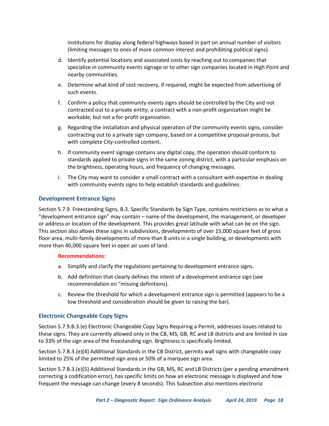institutions for display along federal highways based in part on annual number of visitors (limiting messages to ones of more common interest and prohibiting political signs).

- d. Identify potential locations and associated costs by reaching out to companies that specialize in community events signage or to other sign companies located in High Point and nearby communities.
- e. Determine what kind of cost recovery, if required, might be expected from advertising of such events.
- f. Confirm a policy that community events signs should be controlled by the City and not contracted out to a private entity; a contract with a non-profit organization might be workable, but not a for-profit organization.
- g. Regarding the installation and physical operation of the community events signs, consider contracting out to a private sign company, based on a competitive proposal process, but with complete City-controlled content.
- h. If community event signage contains any digital copy, the operation should conform to standards applied to private signs in the same zoning district, with a particular emphasis on the brightness, operating hours, and frequency of changing messages.
- i. The City may want to consider a small contract with a consultant with expertise in dealing with community events signs to help establish standards and guidelines.

#### <span id="page-21-0"></span>**Development Entrance Signs**

Section 5.7.9. Freestanding Signs, B.3. Specific Standards by Sign Type, contains restrictions as to what a "development entrance sign" may contain – name of the development, the management, or developer or address or location of the development. This provides great latitude with what can be on the sign. This section also allows these signs in subdivisions, developments of over 15,000 square feet of gross floor area, multi-family developments of more than 8 units in a single building, or developments with more than 40,000 square feet in open air uses of land.

#### **Recommendations:**

- a. Simplify and clarify the regulations pertaining to development entrance signs.
- b. Add definition that clearly defines the intent of a development entrance sign (see recommendation on "missing definitions).
- c. Review the threshold for which a development entrance sign is permitted (appears to be a low threshold and consideration should be given to raising the bar).

#### <span id="page-21-1"></span>**Electronic Changeable Copy Signs**

Section 5.7.9.B.3.(e) Electronic Changeable Copy Signs Requiring a Permit, addresses issues related to these signs. They are currently allowed only in the CB, MS, GB, RC and LB districts and are limited in size to 33% of the sign area of the freestanding sign. Brightness is specifically limited.

Section 5.7.B.3.(e)(4) Additional Standards in the CB District, permits wall signs with changeable copy limited to 25% of the permitted sign area or 50% of a marquee sign area.

Section 5.7.B.3.(e)(5) Additional Standards in the GB, MS, RC and LB Districts (per a pending amendment correcting a codification error), has specific limits on how an electronic message is displayed and how frequent the message can change (every 8 seconds). This Subsection also mentions electronic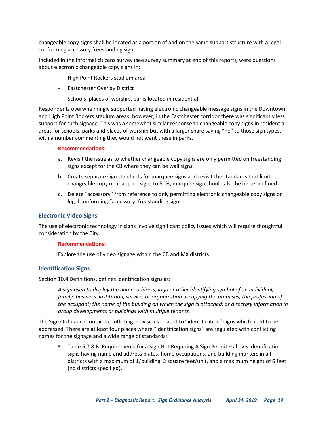changeable copy signs shall be located as a portion of and on the same support structure with a legal conforming accessory freestanding sign.

Included in the informal citizens survey (see survey summary at end of this report), were questions about electronic changeable copy signs in:

- High Point Rockers stadium area
- Eastchester Overlay District
- Schools, places of worship, parks located in residential

Respondents overwhelmingly supported having electronic changeable message signs in the Downtown and High Point Rockers stadium areas; however, in the Eastchester corridor there was significantly less support for such signage. This was a somewhat similar response to changeable copy signs in residential areas for schools, parks and places of worship but with a larger share saying "no" to those sign types, with a number commenting they would not want these in parks.

#### **Recommendations:**

- a. Revisit the issue as to whether changeable copy signs are only permitted on freestanding signs except for the CB where they can be wall signs.
- b. Create separate sign standards for marquee signs and revisit the standards that limit changeable copy on marquee signs to 50%; marquee sign should also be better defined.
- c. Delete "accessory" from reference to only permitting electronic changeable copy signs on legal conforming "accessory: freestanding signs.

#### <span id="page-22-0"></span>**Electronic Video Signs**

The use of electronic technology in signs involve significant policy issues which will require thoughtful consideration by the City.

#### **Recommendations:**

Explore the use of video signage within the CB and MX districts

#### <span id="page-22-1"></span>**Identification Signs**

Section 10.4 Definitions, defines identification signs as:

*A sign used to display the name, address, logo or other identifying symbol of an individual, family, business, institution, service, or organization occupying the premises; the profession of the occupant; the name of the building on which the sign is attached; or directory information in group developments or buildings with multiple tenants.*

The Sign Ordinance contains conflicting provisions related to "identification" signs which need to be addressed. There are at least four places where "identification signs" are regulated with conflicting names for the signage and a wide range of standards:

■ Table 5.7.8.B: Requirements for a Sign Not Requiring A Sign Permit – allows identification signs having name and address plates, home occupations, and building markers in all districts with a maximum of 1/building, 2 square feet/unit, and a maximum height of 6 feet (no districts specified).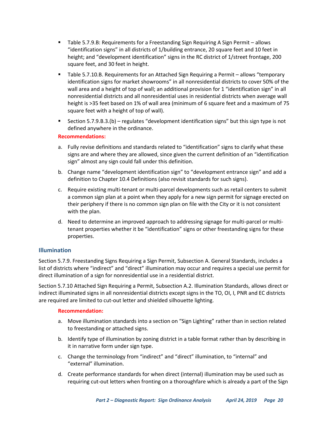- Table 5.7.9.B: Requirements for a Freestanding Sign Requiring A Sign Permit allows "identification signs" in all districts of 1/building entrance, 20 square feet and 10 feet in height; and "development identification" signs in the RC district of 1/street frontage, 200 square feet, and 30 feet in height.
- Table 5.7.10.B. Requirements for an Attached Sign Requiring a Permit allows "temporary identification signs for market showrooms" in all nonresidential districts to cover 50% of the wall area and a height of top of wall; an additional provision for 1 "identification sign" in all nonresidential districts and all nonresidential uses in residential districts when average wall height is >35 feet based on 1% of wall area (minimum of 6 square feet and a maximum of 75 square feet with a height of top of wall).
- Section 5.7.9.B.3.(b) regulates "development identification signs" but this sign type is not defined anywhere in the ordinance.

#### **Recommendations:**

- a. Fully revise definitions and standards related to "identification" signs to clarify what these signs are and where they are allowed, since given the current definition of an "identification sign" almost any sign could fall under this definition.
- b. Change name "development identification sign" to "development entrance sign" and add a definition to Chapter 10.4 Definitions (also revisit standards for such signs).
- c. Require existing multi-tenant or multi-parcel developments such as retail centers to submit a common sign plan at a point when they apply for a new sign permit for signage erected on their periphery if there is no common sign plan on file with the City or it is not consistent with the plan.
- d. Need to determine an improved approach to addressing signage for multi-parcel or multitenant properties whether it be "identification" signs or other freestanding signs for these properties.

#### <span id="page-23-0"></span>**Illumination**

Section 5.7.9. Freestanding Signs Requiring a Sign Permit, Subsection A. General Standards, includes a list of districts where "indirect" and "direct" illumination may occur and requires a special use permit for direct illumination of a sign for nonresidential use in a residential district.

Section 5.7.10 Attached Sign Requiring a Permit, Subsection A.2. Illumination Standards, allows direct or indirect illuminated signs in all nonresidential districts except signs in the TO, OI, I, PNR and EC districts are required are limited to cut-out letter and shielded silhouette lighting.

- a. Move illumination standards into a section on "Sign Lighting" rather than in section related to freestanding or attached signs.
- b. Identify type of illumination by zoning district in a table format rather than by describing in it in narrative form under sign type.
- c. Change the terminology from "indirect" and "direct" illumination, to "internal" and "external" illumination.
- d. Create performance standards for when direct (internal) illumination may be used such as requiring cut-out letters when fronting on a thoroughfare which is already a part of the Sign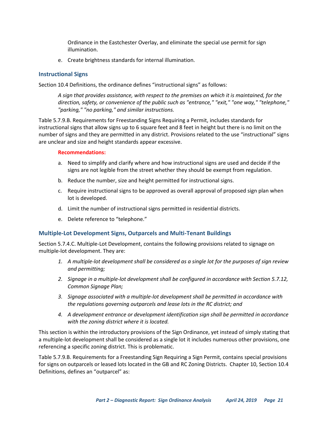Ordinance in the Eastchester Overlay, and eliminate the special use permit for sign illumination.

e. Create brightness standards for internal illumination.

#### <span id="page-24-0"></span>**Instructional Signs**

Section 10.4 Definitions, the ordinance defines "instructional signs" as follows:

*A sign that provides assistance, with respect to the premises on which it is maintained, for the direction, safety, or convenience of the public such as "entrance," "exit," "one way," "telephone," "parking," "no parking," and similar instructions.*

Table 5.7.9.B. Requirements for Freestanding Signs Requiring a Permit, includes standards for instructional signs that allow signs up to 6 square feet and 8 feet in height but there is no limit on the number of signs and they are permitted in any district. Provisions related to the use "instructional" signs are unclear and size and height standards appear excessive.

#### **Recommendations:**

- a. Need to simplify and clarify where and how instructional signs are used and decide if the signs are not legible from the street whether they should be exempt from regulation.
- b. Reduce the number, size and height permitted for instructional signs.
- c. Require instructional signs to be approved as overall approval of proposed sign plan when lot is developed.
- d. Limit the number of instructional signs permitted in residential districts.
- e. Delete reference to "telephone."

#### <span id="page-24-1"></span>**Multiple-Lot Development Signs, Outparcels and Multi-Tenant Buildings**

Section 5.7.4.C. Multiple-Lot Development, contains the following provisions related to signage on multiple-lot development. They are:

- *1. A multiple-lot development shall be considered as a single lot for the purposes of sign review and permitting;*
- *2. Signage in a multiple-lot development shall be configured in accordance with Section 5.7.12, Common Signage Plan;*
- *3. Signage associated with a multiple-lot development shall be permitted in accordance with the regulations governing outparcels and lease lots in the RC district; and*
- *4. A development entrance or development identification sign shall be permitted in accordance with the zoning district where it is located.*

This section is within the introductory provisions of the Sign Ordinance, yet instead of simply stating that a multiple-lot development shall be considered as a single lot it includes numerous other provisions, one referencing a specific zoning district. This is problematic.

Table 5.7.9.B. Requirements for a Freestanding Sign Requiring a Sign Permit, contains special provisions for signs on outparcels or leased lots located in the GB and RC Zoning Districts. Chapter 10, Section 10.4 Definitions, defines an "outparcel" as: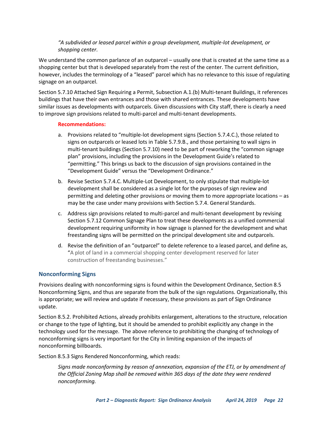#### *"A subdivided or leased parcel within a group development, multiple-lot development, or shopping center.*

We understand the common parlance of an outparcel – usually one that is created at the same time as a shopping center but that is developed separately from the rest of the center. The current definition, however, includes the terminology of a "leased" parcel which has no relevance to this issue of regulating signage on an outparcel.

Section 5.7.10 Attached Sign Requiring a Permit, Subsection A.1.(b) Multi-tenant Buildings, it references buildings that have their own entrances and those with shared entrances. These developments have similar issues as developments with outparcels. Given discussions with City staff, there is clearly a need to improve sign provisions related to multi-parcel and multi-tenant developments.

#### **Recommendations:**

- a. Provisions related to "multiple-lot development signs (Section 5.7.4.C.), those related to signs on outparcels or leased lots in Table 5.7.9.B., and those pertaining to wall signs in multi-tenant buildings (Section 5.7.10) need to be part of reworking the "common signage plan" provisions, including the provisions in the Development Guide's related to "permitting." This brings us back to the discussion of sign provisions contained in the "Development Guide" versus the "Development Ordinance."
- b. Revise Section 5.7.4.C. Multiple-Lot Development, to only stipulate that multiple-lot development shall be considered as a single lot for the purposes of sign review and permitting and deleting other provisions or moving them to more appropriate locations – as may be the case under many provisions with Section 5.7.4. General Standards.
- c. Address sign provisions related to multi-parcel and multi-tenant development by revising Section 5.7.12 Common Signage Plan to treat these developments as a unified commercial development requiring uniformity in how signage is planned for the development and what freestanding signs will be permitted on the principal development site and outparcels.
- d. Revise the definition of an "outparcel" to delete reference to a leased parcel, and define as, "A plot of land in a commercial shopping center development reserved for later construction of freestanding businesses."

#### <span id="page-25-0"></span>**Nonconforming Signs**

Provisions dealing with nonconforming signs is found within the Development Ordinance, Section 8.5 Nonconforming Signs, and thus are separate from the bulk of the sign regulations. Organizationally, this is appropriate; we will review and update if necessary, these provisions as part of Sign Ordinance update.

Section 8.5.2. Prohibited Actions, already prohibits enlargement, alterations to the structure, relocation or change to the type of lighting, but it should be amended to prohibit explicitly any change in the technology used for the message. The above reference to prohibiting the changing of technology of nonconforming signs is very important for the City in limiting expansion of the impacts of nonconforming billboards.

Section 8.5.3 Signs Rendered Nonconforming, which reads:

*Signs made nonconforming by reason of annexation, expansion of the ETJ, or by amendment of the Official Zoning Map shall be removed within 365 days of the date they were rendered nonconforming.*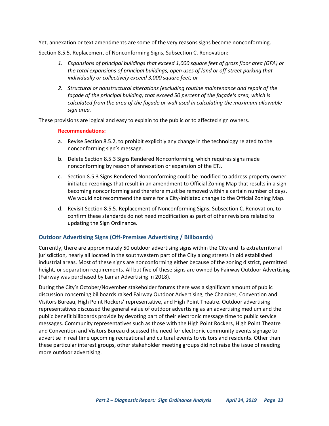Yet, annexation or text amendments are some of the very reasons signs become nonconforming.

Section 8.5.5. Replacement of Nonconforming Signs, Subsection C. Renovation:

- *1. Expansions of principal buildings that exceed 1,000 square feet of gross floor area (GFA) or the total expansions of principal buildings, open uses of land or off-street parking that individually or collectively exceed 3,000 square feet; or*
- *2. Structural or nonstructural alterations (excluding routine maintenance and repair of the façade of the principal building) that exceed 50 percent of the façade's area, which is calculated from the area of the façade or wall used in calculating the maximum allowable sign area.*

These provisions are logical and easy to explain to the public or to affected sign owners.

#### **Recommendations:**

- a. Revise Section 8.5.2, to prohibit explicitly any change in the technology related to the nonconforming sign's message.
- b. Delete Section 8.5.3 Signs Rendered Nonconforming, which requires signs made nonconforming by reason of annexation or expansion of the ETJ.
- c. Section 8.5.3 Signs Rendered Nonconforming could be modified to address property ownerinitiated rezonings that result in an amendment to Official Zoning Map that results in a sign becoming nonconforming and therefore must be removed within a certain number of days. We would not recommend the same for a City-initiated change to the Official Zoning Map.
- d. Revisit Section 8.5.5. Replacement of Nonconforming Signs, Subsection C. Renovation, to confirm these standards do not need modification as part of other revisions related to updating the Sign Ordinance.

#### <span id="page-26-0"></span>**Outdoor Advertising Signs (Off-Premises Advertising / Billboards)**

Currently, there are approximately 50 outdoor advertising signs within the City and its extraterritorial jurisdiction, nearly all located in the southwestern part of the City along streets in old established industrial areas. Most of these signs are nonconforming either because of the zoning district, permitted height, or separation requirements. All but five of these signs are owned by Fairway Outdoor Advertising (Fairway was purchased by Lamar Advertising in 2018).

During the City's October/November stakeholder forums there was a significant amount of public discussion concerning billboards raised Fairway Outdoor Advertising, the Chamber, Convention and Visitors Bureau, High Point Rockers' representative, and High Point Theatre. Outdoor advertising representatives discussed the general value of outdoor advertising as an advertising medium and the public benefit billboards provide by devoting part of their electronic message time to public service messages. Community representatives such as those with the High Point Rockers, High Point Theatre and Convention and Visitors Bureau discussed the need for electronic community events signage to advertise in real time upcoming recreational and cultural events to visitors and residents. Other than these particular interest groups, other stakeholder meeting groups did not raise the issue of needing more outdoor advertising.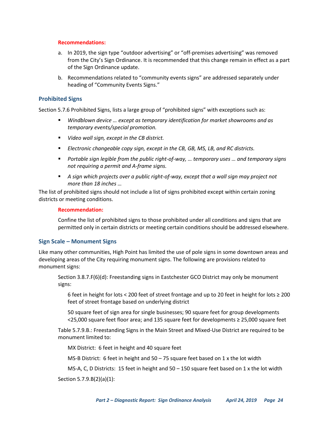#### **Recommendations:**

- a. In 2019, the sign type "outdoor advertising" or "off-premises advertising" was removed from the City's Sign Ordinance. It is recommended that this change remain in effect as a part of the Sign Ordinance update.
- b. Recommendations related to "community events signs" are addressed separately under heading of "Community Events Signs."

#### <span id="page-27-0"></span>**Prohibited Signs**

Section 5.7.6 Prohibited Signs, lists a large group of "prohibited signs" with exceptions such as:

- *Windblown device ... except as temporary identification for market showrooms and as temporary events/special promotion.*
- *Video wall sign, except in the CB district.*
- *Electronic changeable copy sign, except in the CB, GB, MS, LB, and RC districts.*
- *Portable sign legible from the public right-of-way, … temporary uses … and temporary signs not requiring a permit and A-frame signs.*
- A sign which projects over a public right-of-way, except that a wall sign may project not *more than 18 inches …*

The list of prohibited signs should not include a list of signs prohibited except within certain zoning districts or meeting conditions.

#### **Recommendation:**

Confine the list of prohibited signs to those prohibited under all conditions and signs that are permitted only in certain districts or meeting certain conditions should be addressed elsewhere.

#### <span id="page-27-1"></span>**Sign Scale – Monument Signs**

Like many other communities, High Point has limited the use of pole signs in some downtown areas and developing areas of the City requiring monument signs. The following are provisions related to monument signs:

Section 3.8.7.F(6)(d): Freestanding signs in Eastchester GCO District may only be monument signs:

6 feet in height for lots < 200 feet of street frontage and up to 20 feet in height for lots ≥ 200 feet of street frontage based on underlying district

50 square feet of sign area for single businesses; 90 square feet for group developments <25,000 square feet floor area; and 135 square feet for developments ≥ 25,000 square feet

Table 5.7.9.B.: Freestanding Signs in the Main Street and Mixed-Use District are required to be monument limited to:

MX District: 6 feet in height and 40 square feet

MS-B District: 6 feet in height and  $50 - 75$  square feet based on 1 x the lot width

MS-A, C, D Districts: 15 feet in height and 50 – 150 square feet based on 1 x the lot width

Section 5.7.9.B(2)(a)(1):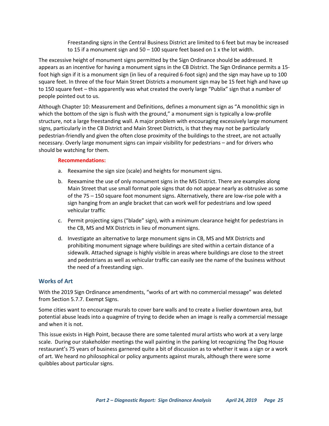Freestanding signs in the Central Business District are limited to 6 feet but may be increased to 15 if a monument sign and 50 – 100 square feet based on 1 x the lot width.

The excessive height of monument signs permitted by the Sign Ordinance should be addressed. It appears as an incentive for having a monument signs in the CB District. The Sign Ordinance permits a 15 foot high sign if it is a monument sign (in lieu of a required 6-foot sign) and the sign may have up to 100 square feet. In three of the four Main Street Districts a monument sign may be 15 feet high and have up to 150 square feet – this apparently was what created the overly large "Publix" sign that a number of people pointed out to us.

Although Chapter 10: Measurement and Definitions, defines a monument sign as "A monolithic sign in which the bottom of the sign is flush with the ground," a monument sign is typically a low-profile structure, not a large freestanding wall. A major problem with encouraging excessively large monument signs, particularly in the CB District and Main Street Districts, is that they may not be particularly pedestrian-friendly and given the often close proximity of the buildings to the street, are not actually necessary. Overly large monument signs can impair visibility for pedestrians – and for drivers who should be watching for them.

#### **Recommendations:**

- a. Reexamine the sign size (scale) and heights for monument signs.
- b. Reexamine the use of only monument signs in the MS District. There are examples along Main Street that use small format pole signs that do not appear nearly as obtrusive as some of the 75 – 150 square foot monument signs. Alternatively, there are low-rise pole with a sign hanging from an angle bracket that can work well for pedestrians and low speed vehicular traffic
- c. Permit projecting signs ("blade" sign), with a minimum clearance height for pedestrians in the CB, MS and MX Districts in lieu of monument signs.
- d. Investigate an alternative to large monument signs in CB, MS and MX Districts and prohibiting monument signage where buildings are sited within a certain distance of a sidewalk. Attached signage is highly visible in areas where buildings are close to the street and pedestrians as well as vehicular traffic can easily see the name of the business without the need of a freestanding sign.

#### <span id="page-28-0"></span>**Works of Art**

With the 2019 Sign Ordinance amendments, "works of art with no commercial message" was deleted from Section 5.7.7. Exempt Signs.

Some cities want to encourage murals to cover bare walls and to create a livelier downtown area, but potential abuse leads into a quagmire of trying to decide when an image is really a commercial message and when it is not.

This issue exists in High Point, because there are some talented mural artists who work at a very large scale. During our stakeholder meetings the wall painting in the parking lot recognizing The Dog House restaurant's 75 years of business garnered quite a bit of discussion as to whether it was a sign or a work of art. We heard no philosophical or policy arguments against murals, although there were some quibbles about particular signs.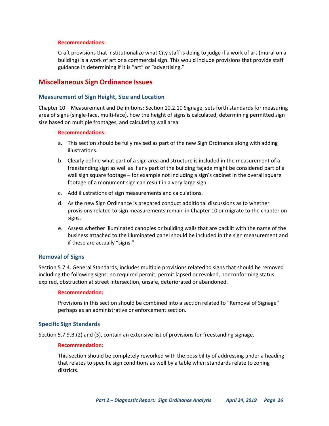#### **Recommendations:**

Craft provisions that institutionalize what City staff is doing to judge if a work of art (mural on a building) is a work of art or a commercial sign. This would include provisions that provide staff guidance in determining if it is "art" or "advertising."

# <span id="page-29-0"></span>**Miscellaneous Sign Ordinance Issues**

#### <span id="page-29-1"></span>**Measurement of Sign Height, Size and Location**

Chapter 10 – Measurement and Definitions: Section 10.2.10 Signage, sets forth standards for measuring area of signs (single-face, multi-face), how the height of signs is calculated, determining permitted sign size based on multiple frontages, and calculating wall area.

#### **Recommendations:**

- a. This section should be fully revised as part of the new Sign Ordinance along with adding illustrations.
- b. Clearly define what part of a sign area and structure is included in the measurement of a freestanding sign as well as if any part of the building façade might be considered part of a wall sign square footage – for example not including a sign's cabinet in the overall square footage of a monument sign can result in a very large sign.
- c. Add illustrations of sign measurements and calculations.
- d. As the new Sign Ordinance is prepared conduct additional discussions as to whether provisions related to sign measurements remain in Chapter 10 or migrate to the chapter on signs.
- e. Assess whether illuminated canopies or building walls that are backlit with the name of the business attached to the illuminated panel should be included in the sign measurement and if these are actually "signs."

#### <span id="page-29-2"></span>**Removal of Signs**

Section 5.7.4. General Standards, includes multiple provisions related to signs that should be removed including the following signs: no required permit, permit lapsed or revoked, nonconforming status expired, obstruction at street intersection, unsafe, deteriorated or abandoned.

#### **Recommendation:**

Provisions in this section should be combined into a section related to "Removal of Signage" perhaps as an administrative or enforcement section.

#### <span id="page-29-3"></span>**Specific Sign Standards**

Section 5.7.9.B.(2) and (3), contain an extensive list of provisions for freestanding signage.

#### **Recommendation:**

This section should be completely reworked with the possibility of addressing under a heading that relates to specific sign conditions as well by a table when standards relate to zoning districts.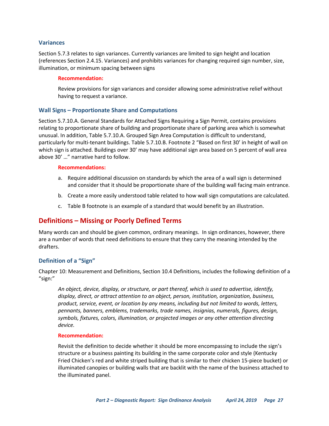#### <span id="page-30-0"></span>**Variances**

Section 5.7.3 relates to sign variances. Currently variances are limited to sign height and location (references Section 2.4.15. Variances) and prohibits variances for changing required sign number, size, illumination, or minimum spacing between signs

#### **Recommendation:**

Review provisions for sign variances and consider allowing some administrative relief without having to request a variance.

#### <span id="page-30-1"></span>**Wall Signs – Proportionate Share and Computations**

Section 5.7.10.A. General Standards for Attached Signs Requiring a Sign Permit, contains provisions relating to proportionate share of building and proportionate share of parking area which is somewhat unusual. In addition, Table 5.7.10.A. Grouped Sign Area Computation is difficult to understand, particularly for multi-tenant buildings. Table 5.7.10.B. Footnote 2 "Based on first 30' in height of wall on which sign is attached. Buildings over 30' may have additional sign area based on 5 percent of wall area above 30' …" narrative hard to follow.

#### **Recommendations:**

- a. Require additional discussion on standards by which the area of a wall sign is determined and consider that it should be proportionate share of the building wall facing main entrance.
- b. Create a more easily understood table related to how wall sign computations are calculated.
- c. Table B footnote is an example of a standard that would benefit by an illustration.

## <span id="page-30-2"></span>**Definitions – Missing or Poorly Defined Terms**

Many words can and should be given common, ordinary meanings. In sign ordinances, however, there are a number of words that need definitions to ensure that they carry the meaning intended by the drafters.

#### <span id="page-30-3"></span>**Definition of a "Sign"**

Chapter 10: Measurement and Definitions, Section 10.4 Definitions, includes the following definition of a "sign:"

*An object, device, display, or structure, or part thereof, which is used to advertise, identify, display, direct, or attract attention to an object, person, institution, organization, business, product, service, event, or location by any means, including but not limited to words, letters, pennants, banners, emblems, trademarks, trade names, insignias, numerals, figures, design, symbols, fixtures, colors, illumination, or projected images or any other attention directing device.*

#### **Recommendation:**

Revisit the definition to decide whether it should be more encompassing to include the sign's structure or a business painting its building in the same corporate color and style (Kentucky Fried Chicken's red and white striped building that is similar to their chicken 15-piece bucket) or illuminated canopies or building walls that are backlit with the name of the business attached to the illuminated panel.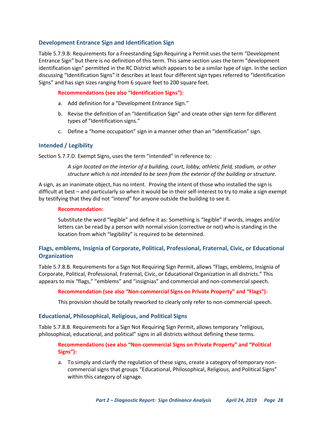#### <span id="page-31-0"></span>**Development Entrance Sign and Identification Sign**

Table 5.7.9.B: Requirements for a Freestanding Sign Requiring a Permit uses the term "Development Entrance Sign" but there is no definition of this term. This same section uses the term "development identification sign" permitted in the RC District which appears to be a similar type of sign. In the section discussing "Identification Signs" it describes at least four different sign types referred to "Identification Signs" and has sign sizes ranging from 6 square feet to 200 square feet.

#### **Recommendations (see also "Identification Signs"):**

- a. Add definition for a "Development Entrance Sign."
- b. Revise the definition of an "Identification Sign" and create other sign term for different types of "Identification signs."
- c. Define a "home occupation" sign in a manner other than an "identification" sign.

#### <span id="page-31-1"></span>**Intended / Legibility**

Section 5.7.7.D. Exempt Signs, uses the term "intended" in reference to:

*A sign located on the interior of a building, court, lobby, athletic field, stadium, or other structure which is not intended to be seen from the exterior of the building or structure.*

A sign, as an inanimate object, has no intent. Proving the intent of those who installed the sign is difficult at best – and particularly so when it would be in their self-interest to try to make a sign exempt by testifying that they did not "intend" for anyone outside the building to see it.

#### **Recommendation:**

Substitute the word "legible" and define it as: Something is "legible" if words, images and/or letters can be read by a person with normal vision (corrective or not) who is standing in the location from which "legibility" is required to be determined.

#### <span id="page-31-2"></span>**Flags, emblems, Insignia of Corporate, Political, Professional, Fraternal, Civic, or Educational Organization**

Table 5.7.8.B. Requirements for a Sign Not Requiring Sign Permit, allows "Flags, emblems, Insignia of Corporate, Political, Professional, Fraternal, Civic, or Educational Organization in all districts." This appears to mix "flags," "emblems" and "insignias" and commercial and non-commercial speech.

#### **Recommendation (see also "Non-commercial Signs on Private Property" and "Flags"):**

This provision should be totally reworked to clearly only refer to non-commercial speech.

#### <span id="page-31-3"></span>**Educational, Philosophical, Religious, and Political Signs**

Table 5.7.8.B. Requirements for a Sign Not Requiring Sign Permit, allows temporary "religious, philosophical, educational, and political" signs in all districts without defining these terms.

#### **Recommendations (see also "Non-commercial Signs on Private Property" and "Political Signs"):**

a. To simply and clarify the regulation of these signs, create a category of temporary noncommercial signs that groups "Educational, Philosophical, Religious, and Political Signs" within this category of signage.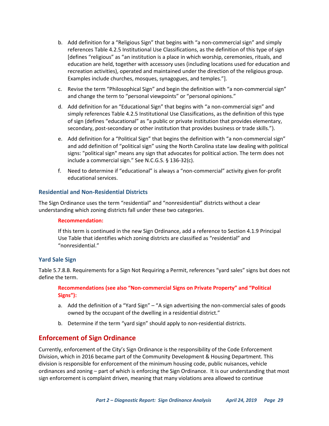- b. Add definition for a "Religious Sign" that begins with "a non-commercial sign" and simply references Table 4.2.5 Institutional Use Classifications, as the definition of this type of sign [defines "religious" as "an institution is a place in which worship, ceremonies, rituals, and education are held, together with accessory uses (including locations used for education and recreation activities), operated and maintained under the direction of the religious group. Examples include churches, mosques, synagogues, and temples."].
- c. Revise the term "Philosophical Sign" and begin the definition with "a non-commercial sign" and change the term to "personal viewpoints" or "personal opinions."
- d. Add definition for an "Educational Sign" that begins with "a non-commercial sign" and simply references Table 4.2.5 Institutional Use Classifications, as the definition of this type of sign (defines "educational" as "a public or private institution that provides elementary, secondary, post-secondary or other institution that provides business or trade skills.").
- e. Add definition for a "Political Sign" that begins the definition with "a non-commercial sign" and add definition of "political sign" using the North Carolina state law dealing with political signs: "political sign" means any sign that advocates for political action. The term does not include a commercial sign." See N.C.G.S. § 136-32(c).
- f. Need to determine if "educational" is always a "non-commercial" activity given for-profit educational services.

#### <span id="page-32-0"></span>**Residential and Non-Residential Districts**

The Sign Ordinance uses the term "residential" and "nonresidential" districts without a clear understanding which zoning districts fall under these two categories.

#### **Recommendation:**

If this term is continued in the new Sign Ordinance, add a reference to Section 4.1.9 Principal Use Table that identifies which zoning districts are classified as "residential" and "nonresidential."

#### <span id="page-32-1"></span>**Yard Sale Sign**

Table 5.7.8.B. Requirements for a Sign Not Requiring a Permit, references "yard sales" signs but does not define the term.

**Recommendations (see also "Non-commercial Signs on Private Property" and "Political Signs"):**

- a. Add the definition of a "Yard Sign" "A sign advertising the non-commercial sales of goods owned by the occupant of the dwelling in a residential district."
- b. Determine if the term "yard sign" should apply to non-residential districts.

## <span id="page-32-2"></span>**Enforcement of Sign Ordinance**

Currently, enforcement of the City's Sign Ordinance is the responsibility of the Code Enforcement Division, which in 2016 became part of the Community Development & Housing Department. This division is responsible for enforcement of the minimum housing code, public nuisances, vehicle ordinances and zoning – part of which is enforcing the Sign Ordinance. It is our understanding that most sign enforcement is complaint driven, meaning that many violations area allowed to continue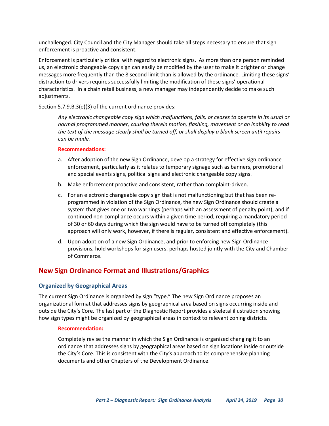unchallenged. City Council and the City Manager should take all steps necessary to ensure that sign enforcement is proactive and consistent.

Enforcement is particularly critical with regard to electronic signs. As more than one person reminded us, an electronic changeable copy sign can easily be modified by the user to make it brighter or change messages more frequently than the 8 second limit than is allowed by the ordinance. Limiting these signs' distraction to drivers requires successfully limiting the modification of these signs' operational characteristics. In a chain retail business, a new manager may independently decide to make such adjustments.

Section 5.7.9.B.3(e)(3) of the current ordinance provides:

*Any electronic changeable copy sign which malfunctions, fails, or ceases to operate in its usual or normal programmed manner, causing therein motion, flashing, movement or an inability to read the text of the message clearly shall be turned off, or shall display a blank screen until repairs can be made.* 

#### **Recommendations:**

- a. After adoption of the new Sign Ordinance, develop a strategy for effective sign ordinance enforcement, particularly as it relates to temporary signage such as banners, promotional and special events signs, political signs and electronic changeable copy signs.
- b. Make enforcement proactive and consistent, rather than complaint-driven.
- c. For an electronic changeable copy sign that is not malfunctioning but that has been reprogrammed in violation of the Sign Ordinance, the new Sign Ordinance should create a system that gives one or two warnings (perhaps with an assessment of penalty point), and if continued non-compliance occurs within a given time period, requiring a mandatory period of 30 or 60 days during which the sign would have to be turned off completely (this approach will only work, however, if there is regular, consistent and effective enforcement).
- d. Upon adoption of a new Sign Ordinance, and prior to enforcing new Sign Ordinance provisions, hold workshops for sign users, perhaps hosted jointly with the City and Chamber of Commerce.

# <span id="page-33-0"></span>**New Sign Ordinance Format and Illustrations/Graphics**

#### <span id="page-33-1"></span>**Organized by Geographical Areas**

The current Sign Ordinance is organized by sign "type." The new Sign Ordinance proposes an organizational format that addresses signs by geographical area based on signs occurring inside and outside the City's Core. The last part of the Diagnostic Report provides a skeletal illustration showing how sign types might be organized by geographical areas in context to relevant zoning districts.

#### **Recommendation:**

Completely revise the manner in which the Sign Ordinance is organized changing it to an ordinance that addresses signs by geographical areas based on sign locations inside or outside the City's Core. This is consistent with the City's approach to its comprehensive planning documents and other Chapters of the Development Ordinance.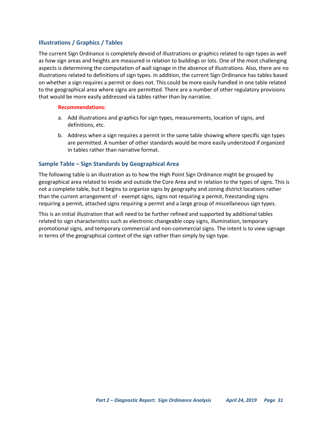#### <span id="page-34-0"></span>**Illustrations / Graphics / Tables**

The current Sign Ordinance is completely devoid of illustrations or graphics related to sign types as well as how sign areas and heights are measured in relation to buildings or lots. One of the most challenging aspects is determining the computation of wall signage in the absence of illustrations. Also, there are no illustrations related to definitions of sign types. In addition, the current Sign Ordinance has tables based on whether a sign requires a permit or does not. This could be more easily handled in one table related to the geographical area where signs are permitted. There are a number of other regulatory provisions that would be more easily addressed via tables rather than by narrative.

#### **Recommendations:**

- a. Add illustrations and graphics for sign types, measurements, location of signs, and definitions, etc.
- b. Address when a sign requires a permit in the same table showing where specific sign types are permitted. A number of other standards would be more easily understood if organized in tables rather than narrative format.

#### <span id="page-34-1"></span>**Sample Table – Sign Standards by Geographical Area**

The following table is an illustration as to how the High Point Sign Ordinance might be grouped by geographical area related to inside and outside the Core Area and in relation to the types of signs. This is not a complete table, but it begins to organize signs by geography and zoning district locations rather than the current arrangement of - exempt signs, signs not requiring a permit, freestanding signs requiring a permit, attached signs requiring a permit and a large group of miscellaneous sign types.

This is an initial illustration that will need to be further refined and supported by additional tables related to sign characteristics such as electronic changeable copy signs, illumination, temporary promotional signs, and temporary commercial and non-commercial signs. The intent is to view signage in terms of the geographical context of the sign rather than simply by sign type.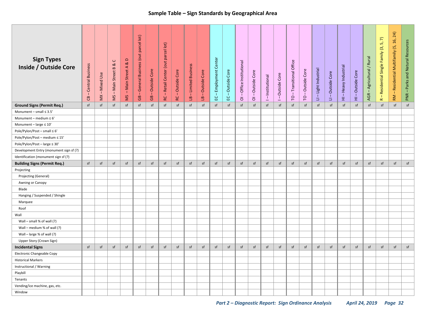# **Sample Table – Sign Standards by Geographical Area**

| <b>Sign Types</b><br><b>Inside / Outside Core</b> | -Central Business<br>ප | - Mixed Use<br>$\sum\limits_{k=1}^{N}$ | $\cup$<br>ಡ<br>$\bf{m}$<br>- Main Street<br>SM | $\Box$<br>ಹ<br>- Main Street A<br>SM | parcel lot)<br>General Business (out<br>-1<br>$\mathbf{G}$ | Outside Core<br>T.<br>$\mathbb{G}^{\mathsf{B}}$ | RC - Retail Center (out parcel lot) | Outside Core<br>л<br>$\mathbf{R}$ | LB-Limited Business | Outside Core<br>-1<br>$\overline{\mathbf{e}}$ | Employment Center<br>T.<br>요 | - Outside Core<br>ပ္မ | -Office Institutional<br>$\overline{\circ}$ | -Outside Core<br>$\overline{\circ}$ | I-Institutional | Outside Core<br>1 | - Transitional Office<br>p | Outside Core<br>$\perp$<br>$\overline{c}$ | - Light Industrial<br>Ξ | LI-Outside Core | Heavy Industrial<br>$\overline{1}$<br>田 | Outside Core<br>$\blacksquare$<br>田 | - Agricultural / Rural<br>AGR | $\widehat{\phantom{a}}$<br>$\mathfrak{m}$<br>Residential Single Family (3,<br>$\blacksquare$<br>$\simeq$ | - Residential Multifamily (5, 16, 24)<br>RM | PNR-Parks and Natural Resources |
|---------------------------------------------------|------------------------|----------------------------------------|------------------------------------------------|--------------------------------------|------------------------------------------------------------|-------------------------------------------------|-------------------------------------|-----------------------------------|---------------------|-----------------------------------------------|------------------------------|-----------------------|---------------------------------------------|-------------------------------------|-----------------|-------------------|----------------------------|-------------------------------------------|-------------------------|-----------------|-----------------------------------------|-------------------------------------|-------------------------------|----------------------------------------------------------------------------------------------------------|---------------------------------------------|---------------------------------|
| <b>Ground Signs (Permit Req.)</b>                 | $\sf sf$               | sf                                     | sf                                             | sf                                   | sf                                                         | sf                                              | sf                                  | sf                                | sf                  | sf                                            | sf                           | sf                    | sf                                          | sf                                  | sf              | sf                | $\sf sf$                   | sf                                        | sf                      | sf              | sf                                      | sf                                  | $\sf sf$                      | sf                                                                                                       | $\sf sf$                                    | sf                              |
| Monument - small $\leq 3.5'$                      |                        |                                        |                                                |                                      |                                                            |                                                 |                                     |                                   |                     |                                               |                              |                       |                                             |                                     |                 |                   |                            |                                           |                         |                 |                                         |                                     |                               |                                                                                                          |                                             |                                 |
| Monument - medium $\leq 6'$                       |                        |                                        |                                                |                                      |                                                            |                                                 |                                     |                                   |                     |                                               |                              |                       |                                             |                                     |                 |                   |                            |                                           |                         |                 |                                         |                                     |                               |                                                                                                          |                                             |                                 |
| Monument - large $\leq 10'$                       |                        |                                        |                                                |                                      |                                                            |                                                 |                                     |                                   |                     |                                               |                              |                       |                                             |                                     |                 |                   |                            |                                           |                         |                 |                                         |                                     |                               |                                                                                                          |                                             |                                 |
| Pole/Pylon/Post - small $\leq 6'$                 |                        |                                        |                                                |                                      |                                                            |                                                 |                                     |                                   |                     |                                               |                              |                       |                                             |                                     |                 |                   |                            |                                           |                         |                 |                                         |                                     |                               |                                                                                                          |                                             |                                 |
| Pole/Pylon/Post - medium ≤ 15'                    |                        |                                        |                                                |                                      |                                                            |                                                 |                                     |                                   |                     |                                               |                              |                       |                                             |                                     |                 |                   |                            |                                           |                         |                 |                                         |                                     |                               |                                                                                                          |                                             |                                 |
| Pole/Pylon/Post - large ≤ 30'                     |                        |                                        |                                                |                                      |                                                            |                                                 |                                     |                                   |                     |                                               |                              |                       |                                             |                                     |                 |                   |                            |                                           |                         |                 |                                         |                                     |                               |                                                                                                          |                                             |                                 |
| Development Entry (monument sign sf (?)           |                        |                                        |                                                |                                      |                                                            |                                                 |                                     |                                   |                     |                                               |                              |                       |                                             |                                     |                 |                   |                            |                                           |                         |                 |                                         |                                     |                               |                                                                                                          |                                             |                                 |
| Identification (monument sign sf (?)              |                        |                                        |                                                |                                      |                                                            |                                                 |                                     |                                   |                     |                                               |                              |                       |                                             |                                     |                 |                   |                            |                                           |                         |                 |                                         |                                     |                               |                                                                                                          |                                             |                                 |
| <b>Building Signs (Permit Req.)</b>               | sf                     | sf                                     | sf                                             | sf                                   | sf                                                         | sf                                              | sf                                  | sf                                | sf                  | sf                                            | sf                           | sf                    | sf                                          | sf                                  | sf              | sf                | sf                         | sf                                        | sf                      | sf              | sf                                      | sf                                  | sf                            | sf                                                                                                       | sf                                          | sf                              |
| Projecting                                        |                        |                                        |                                                |                                      |                                                            |                                                 |                                     |                                   |                     |                                               |                              |                       |                                             |                                     |                 |                   |                            |                                           |                         |                 |                                         |                                     |                               |                                                                                                          |                                             |                                 |
| Projecting (General)                              |                        |                                        |                                                |                                      |                                                            |                                                 |                                     |                                   |                     |                                               |                              |                       |                                             |                                     |                 |                   |                            |                                           |                         |                 |                                         |                                     |                               |                                                                                                          |                                             |                                 |
| Awning or Canopy                                  |                        |                                        |                                                |                                      |                                                            |                                                 |                                     |                                   |                     |                                               |                              |                       |                                             |                                     |                 |                   |                            |                                           |                         |                 |                                         |                                     |                               |                                                                                                          |                                             |                                 |
| Blade                                             |                        |                                        |                                                |                                      |                                                            |                                                 |                                     |                                   |                     |                                               |                              |                       |                                             |                                     |                 |                   |                            |                                           |                         |                 |                                         |                                     |                               |                                                                                                          |                                             |                                 |
| Hanging / Suspended / Shingle                     |                        |                                        |                                                |                                      |                                                            |                                                 |                                     |                                   |                     |                                               |                              |                       |                                             |                                     |                 |                   |                            |                                           |                         |                 |                                         |                                     |                               |                                                                                                          |                                             |                                 |
| Marquee                                           |                        |                                        |                                                |                                      |                                                            |                                                 |                                     |                                   |                     |                                               |                              |                       |                                             |                                     |                 |                   |                            |                                           |                         |                 |                                         |                                     |                               |                                                                                                          |                                             |                                 |
| Roof                                              |                        |                                        |                                                |                                      |                                                            |                                                 |                                     |                                   |                     |                                               |                              |                       |                                             |                                     |                 |                   |                            |                                           |                         |                 |                                         |                                     |                               |                                                                                                          |                                             |                                 |
| Wall                                              |                        |                                        |                                                |                                      |                                                            |                                                 |                                     |                                   |                     |                                               |                              |                       |                                             |                                     |                 |                   |                            |                                           |                         |                 |                                         |                                     |                               |                                                                                                          |                                             |                                 |
| Wall - small % of wall (?)                        |                        |                                        |                                                |                                      |                                                            |                                                 |                                     |                                   |                     |                                               |                              |                       |                                             |                                     |                 |                   |                            |                                           |                         |                 |                                         |                                     |                               |                                                                                                          |                                             |                                 |
| Wall - medium % of wall (?)                       |                        |                                        |                                                |                                      |                                                            |                                                 |                                     |                                   |                     |                                               |                              |                       |                                             |                                     |                 |                   |                            |                                           |                         |                 |                                         |                                     |                               |                                                                                                          |                                             |                                 |
| Wall - large % of wall (?)                        |                        |                                        |                                                |                                      |                                                            |                                                 |                                     |                                   |                     |                                               |                              |                       |                                             |                                     |                 |                   |                            |                                           |                         |                 |                                         |                                     |                               |                                                                                                          |                                             |                                 |
| Upper Story (Crown Sign)                          |                        |                                        |                                                |                                      |                                                            |                                                 |                                     |                                   |                     |                                               |                              |                       |                                             |                                     |                 |                   |                            |                                           |                         |                 |                                         |                                     |                               |                                                                                                          |                                             |                                 |
| <b>Incidental Signs</b>                           | sf                     | sf                                     | sf                                             | sf                                   | sf                                                         | sf                                              | sf                                  | sf                                | sf                  | sf                                            | sf                           | sf                    | sf                                          | sf                                  | sf              | sf                | sf                         | sf                                        | sf                      | sf              | sf                                      | sf                                  | sf                            | sf                                                                                                       | sf                                          | sf                              |
| Electronic Changeable Copy                        |                        |                                        |                                                |                                      |                                                            |                                                 |                                     |                                   |                     |                                               |                              |                       |                                             |                                     |                 |                   |                            |                                           |                         |                 |                                         |                                     |                               |                                                                                                          |                                             |                                 |
| <b>Historical Markers</b>                         |                        |                                        |                                                |                                      |                                                            |                                                 |                                     |                                   |                     |                                               |                              |                       |                                             |                                     |                 |                   |                            |                                           |                         |                 |                                         |                                     |                               |                                                                                                          |                                             |                                 |
| Instructional / Warning                           |                        |                                        |                                                |                                      |                                                            |                                                 |                                     |                                   |                     |                                               |                              |                       |                                             |                                     |                 |                   |                            |                                           |                         |                 |                                         |                                     |                               |                                                                                                          |                                             |                                 |
| Playbill                                          |                        |                                        |                                                |                                      |                                                            |                                                 |                                     |                                   |                     |                                               |                              |                       |                                             |                                     |                 |                   |                            |                                           |                         |                 |                                         |                                     |                               |                                                                                                          |                                             |                                 |
| Tenants                                           |                        |                                        |                                                |                                      |                                                            |                                                 |                                     |                                   |                     |                                               |                              |                       |                                             |                                     |                 |                   |                            |                                           |                         |                 |                                         |                                     |                               |                                                                                                          |                                             |                                 |
| Vending/ice machine, gas, etc.                    |                        |                                        |                                                |                                      |                                                            |                                                 |                                     |                                   |                     |                                               |                              |                       |                                             |                                     |                 |                   |                            |                                           |                         |                 |                                         |                                     |                               |                                                                                                          |                                             |                                 |
| Window                                            |                        |                                        |                                                |                                      |                                                            |                                                 |                                     |                                   |                     |                                               |                              |                       |                                             |                                     |                 |                   |                            |                                           |                         |                 |                                         |                                     |                               |                                                                                                          |                                             |                                 |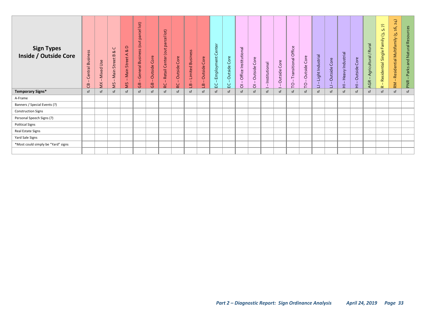| <b>Sign Types</b><br><b>Inside / Outside Core</b> | <b>Business</b><br>Central<br>கு | Use<br>Mixed<br>$\leq$ | $\cup$<br>∞<br>$\bf{m}$<br>Street<br>Main<br>SM | $\Omega$<br>$\infty$<br>⋖<br>Main Street<br>SM | $\vert$ ot)<br>parcel<br>(out<br><b>Business</b><br>General<br>கு | Outside Core<br>$\overline{G}$ | parcel lot)<br>Retail Center (out<br><b>PC</b> | Core<br>Outside<br>RC | <b>Limited Business</b><br>$\mathbf{1}$<br>$\overline{a}$ | Core<br>Outside<br>ீ | Center<br>Employment<br>요 | Core<br>Outside<br>입 | Institutional<br>Office<br>$\overline{O}$ | Outside Core<br>$\overline{\circ}$ | Institutional | ore<br>$\cup$<br>Outside | Transitional Office<br>$\overline{C}$ | Core<br>Outside<br>$\overline{C}$ | Light Industrial<br>o. | Core<br>Outside<br>Ë | Heavy Industrial<br>E. | Core<br>Outside<br>E. | Agricultural / Rural<br><b>AGR</b> | $\widehat{\kappa}$<br>ъõ.<br>$\tilde{e}$<br>amily<br>ட<br>Single<br>Residential<br>$\alpha$ | 24)<br>16,<br>ق<br>Residential Multifamily<br>т.<br>RM | Parks and Natural Resources<br>PNR |
|---------------------------------------------------|----------------------------------|------------------------|-------------------------------------------------|------------------------------------------------|-------------------------------------------------------------------|--------------------------------|------------------------------------------------|-----------------------|-----------------------------------------------------------|----------------------|---------------------------|----------------------|-------------------------------------------|------------------------------------|---------------|--------------------------|---------------------------------------|-----------------------------------|------------------------|----------------------|------------------------|-----------------------|------------------------------------|---------------------------------------------------------------------------------------------|--------------------------------------------------------|------------------------------------|
| <b>Temporary Signs*</b>                           | sf                               | sf                     | sf                                              | sf                                             | sf                                                                | sf                             | sf                                             | sf                    | sf                                                        | sf                   | sf                        | sf                   | sf                                        | sf                                 | sf            | sf                       | sf                                    | sf                                | sf                     | sf                   | sf                     | sf                    | sf                                 | sf                                                                                          | sf                                                     | sf                                 |
| A-Frame                                           |                                  |                        |                                                 |                                                |                                                                   |                                |                                                |                       |                                                           |                      |                           |                      |                                           |                                    |               |                          |                                       |                                   |                        |                      |                        |                       |                                    |                                                                                             |                                                        |                                    |
| Banners / Special Events (?)                      |                                  |                        |                                                 |                                                |                                                                   |                                |                                                |                       |                                                           |                      |                           |                      |                                           |                                    |               |                          |                                       |                                   |                        |                      |                        |                       |                                    |                                                                                             |                                                        |                                    |
| <b>Construction Signs</b>                         |                                  |                        |                                                 |                                                |                                                                   |                                |                                                |                       |                                                           |                      |                           |                      |                                           |                                    |               |                          |                                       |                                   |                        |                      |                        |                       |                                    |                                                                                             |                                                        |                                    |
| Personal Speech Signs (?)                         |                                  |                        |                                                 |                                                |                                                                   |                                |                                                |                       |                                                           |                      |                           |                      |                                           |                                    |               |                          |                                       |                                   |                        |                      |                        |                       |                                    |                                                                                             |                                                        |                                    |
| <b>Political Signs</b>                            |                                  |                        |                                                 |                                                |                                                                   |                                |                                                |                       |                                                           |                      |                           |                      |                                           |                                    |               |                          |                                       |                                   |                        |                      |                        |                       |                                    |                                                                                             |                                                        |                                    |
| Real Estate Signs                                 |                                  |                        |                                                 |                                                |                                                                   |                                |                                                |                       |                                                           |                      |                           |                      |                                           |                                    |               |                          |                                       |                                   |                        |                      |                        |                       |                                    |                                                                                             |                                                        |                                    |
| Yard Sale Signs                                   |                                  |                        |                                                 |                                                |                                                                   |                                |                                                |                       |                                                           |                      |                           |                      |                                           |                                    |               |                          |                                       |                                   |                        |                      |                        |                       |                                    |                                                                                             |                                                        |                                    |
| *Most could simply be "Yard" signs                |                                  |                        |                                                 |                                                |                                                                   |                                |                                                |                       |                                                           |                      |                           |                      |                                           |                                    |               |                          |                                       |                                   |                        |                      |                        |                       |                                    |                                                                                             |                                                        |                                    |
|                                                   |                                  |                        |                                                 |                                                |                                                                   |                                |                                                |                       |                                                           |                      |                           |                      |                                           |                                    |               |                          |                                       |                                   |                        |                      |                        |                       |                                    |                                                                                             |                                                        |                                    |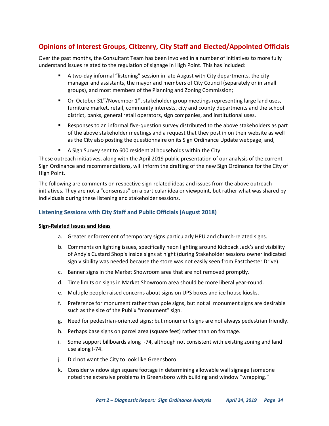# <span id="page-37-0"></span>**Opinions of Interest Groups, Citizenry, City Staff and Elected/Appointed Officials**

Over the past months, the Consultant Team has been involved in a number of initiatives to more fully understand issues related to the regulation of signage in High Point. This has included:

- A two-day informal "listening" session in late August with City departments, the city manager and assistants, the mayor and members of City Council (separately or in small groups), and most members of the Planning and Zoning Commission;
- On October 31<sup>st</sup>/November 1<sup>st</sup>, stakeholder group meetings representing large land uses, furniture market, retail, community interests, city and county departments and the school district, banks, general retail operators, sign companies, and institutional uses.
- Responses to an informal five-question survey distributed to the above stakeholders as part of the above stakeholder meetings and a request that they post in on their website as well as the City also posting the questionnaire on its Sign Ordinance Update webpage; and,
- A Sign Survey sent to 600 residential households within the City.

These outreach initiatives, along with the April 2019 public presentation of our analysis of the current Sign Ordinance and recommendations, will inform the drafting of the new Sign Ordinance for the City of High Point.

The following are comments on respective sign-related ideas and issues from the above outreach initiatives. They are not a "consensus" on a particular idea or viewpoint, but rather what was shared by individuals during these listening and stakeholder sessions.

#### <span id="page-37-1"></span>**Listening Sessions with City Staff and Public Officials (August 2018)**

#### <span id="page-37-2"></span>**Sign-Related Issues and Ideas**

- a. Greater enforcement of temporary signs particularly HPU and church-related signs.
- b. Comments on lighting issues, specifically neon lighting around Kickback Jack's and visibility of Andy's Custard Shop's inside signs at night (during Stakeholder sessions owner indicated sign visibility was needed because the store was not easily seen from Eastchester Drive).
- c. Banner signs in the Market Showroom area that are not removed promptly.
- d. Time limits on signs in Market Showroom area should be more liberal year-round.
- e. Multiple people raised concerns about signs on UPS boxes and ice house kiosks.
- f. Preference for monument rather than pole signs, but not all monument signs are desirable such as the size of the Publix "monument" sign.
- g. Need for pedestrian-oriented signs; but monument signs are not always pedestrian friendly.
- h. Perhaps base signs on parcel area (square feet) rather than on frontage.
- i. Some support billboards along I-74, although not consistent with existing zoning and land use along I-74.
- j. Did not want the City to look like Greensboro.
- k. Consider window sign square footage in determining allowable wall signage (someone noted the extensive problems in Greensboro with building and window "wrapping."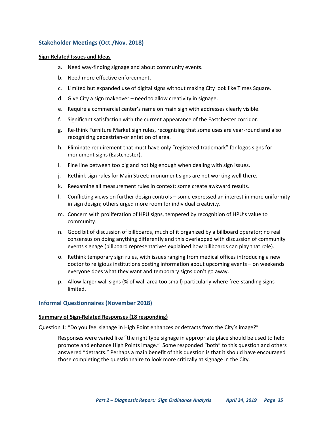#### <span id="page-38-0"></span>**Stakeholder Meetings (Oct./Nov. 2018)**

#### <span id="page-38-1"></span>**Sign-Related Issues and Ideas**

- a. Need way-finding signage and about community events.
- b. Need more effective enforcement.
- c. Limited but expanded use of digital signs without making City look like Times Square.
- d. Give City a sign makeover need to allow creativity in signage.
- e. Require a commercial center's name on main sign with addresses clearly visible.
- f. Significant satisfaction with the current appearance of the Eastchester corridor.
- g. Re-think Furniture Market sign rules, recognizing that some uses are year-round and also recognizing pedestrian-orientation of area.
- h. Eliminate requirement that must have only "registered trademark" for logos signs for monument signs (Eastchester).
- i. Fine line between too big and not big enough when dealing with sign issues.
- j. Rethink sign rules for Main Street; monument signs are not working well there.
- k. Reexamine all measurement rules in context; some create awkward results.
- l. Conflicting views on further design controls some expressed an interest in more uniformity in sign design; others urged more room for individual creativity.
- m. Concern with proliferation of HPU signs, tempered by recognition of HPU's value to community.
- n. Good bit of discussion of billboards, much of it organized by a billboard operator; no real consensus on doing anything differently and this overlapped with discussion of community events signage (billboard representatives explained how billboards can play that role).
- o. Rethink temporary sign rules, with issues ranging from medical offices introducing a new doctor to religious institutions posting information about upcoming events – on weekends everyone does what they want and temporary signs don't go away.
- p. Allow larger wall signs (% of wall area too small) particularly where free-standing signs limited.

#### <span id="page-38-2"></span>**Informal Questionnaires (November 2018)**

#### <span id="page-38-3"></span>**Summary of Sign-Related Responses (18 responding)**

Question 1: "Do you feel signage in High Point enhances or detracts from the City's image?"

Responses were varied like "the right type signage in appropriate place should be used to help promote and enhance High Points image." Some responded "both" to this question and others answered "detracts." Perhaps a main benefit of this question is that it should have encouraged those completing the questionnaire to look more critically at signage in the City.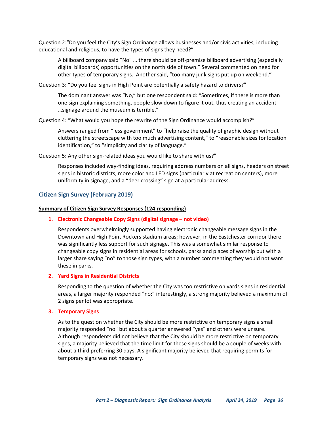Question 2:"Do you feel the City's Sign Ordinance allows businesses and/or civic activities, including educational and religious, to have the types of signs they need?"

A billboard company said "No" … there should be off-premise billboard advertising (especially digital billboards) opportunities on the north side of town." Several commented on need for other types of temporary signs. Another said, "too many junk signs put up on weekend."

Question 3: "Do you feel signs in High Point are potentially a safety hazard to drivers?"

The dominant answer was "No," but one respondent said: "Sometimes, if there is more than one sign explaining something, people slow down to figure it out, thus creating an accident …signage around the museum is terrible."

Question 4: "What would you hope the rewrite of the Sign Ordinance would accomplish?"

Answers ranged from "less government" to "help raise the quality of graphic design without cluttering the streetscape with too much advertising content," to "reasonable sizes for location identification," to "simplicity and clarity of language."

Question 5: Any other sign-related ideas you would like to share with us?"

Responses included way-finding ideas, requiring address numbers on all signs, headers on street signs in historic districts, more color and LED signs (particularly at recreation centers), more uniformity in signage, and a "deer crossing" sign at a particular address.

#### <span id="page-39-0"></span>**Citizen Sign Survey (February 2019)**

#### <span id="page-39-1"></span>**Summary of Citizen Sign Survey Responses (124 responding)**

#### **1. Electronic Changeable Copy Signs (digital signage – not video)**

Respondents overwhelmingly supported having electronic changeable message signs in the Downtown and High Point Rockers stadium areas; however, in the Eastchester corridor there was significantly less support for such signage. This was a somewhat similar response to changeable copy signs in residential areas for schools, parks and places of worship but with a larger share saying "no" to those sign types, with a number commenting they would not want these in parks.

#### **2. Yard Signs in Residential Districts**

Responding to the question of whether the City was too restrictive on yards signs in residential areas, a larger majority responded "no;" interestingly, a strong majority believed a maximum of 2 signs per lot was appropriate.

#### **3. Temporary Signs**

As to the question whether the City should be more restrictive on temporary signs a small majority responded "no" but about a quarter answered "yes" and others were unsure. Although respondents did not believe that the City should be more restrictive on temporary signs, a majority believed that the time limit for these signs should be a couple of weeks with about a third preferring 30 days. A significant majority believed that requiring permits for temporary signs was not necessary.